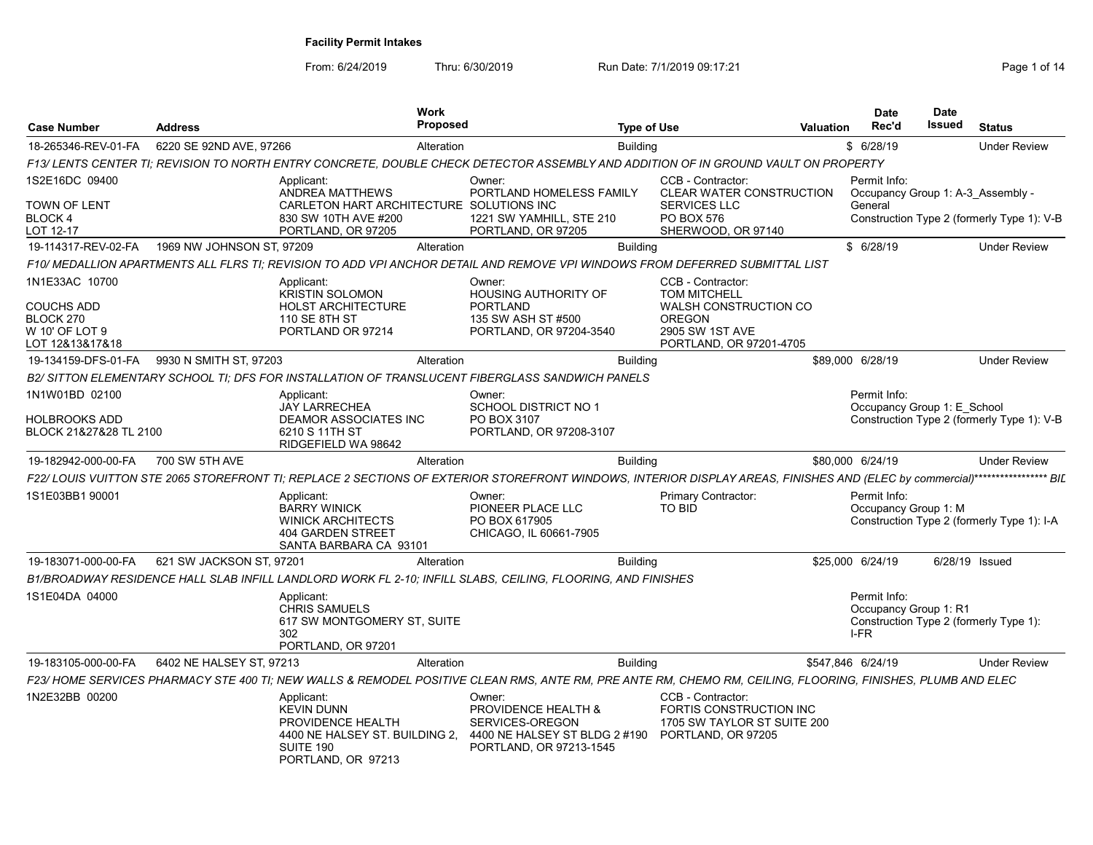| <b>Case Number</b>                             | <b>Address</b>            |                                                                                                                           | <b>Work</b><br>Proposed |                                                                                                              | <b>Type of Use</b> |                                                                                                                                                                               | <b>Valuation</b> | <b>Date</b><br>Rec'd                              | <b>Date</b><br>Issued | <b>Status</b>                              |
|------------------------------------------------|---------------------------|---------------------------------------------------------------------------------------------------------------------------|-------------------------|--------------------------------------------------------------------------------------------------------------|--------------------|-------------------------------------------------------------------------------------------------------------------------------------------------------------------------------|------------------|---------------------------------------------------|-----------------------|--------------------------------------------|
| 18-265346-REV-01-FA                            | 6220 SE 92ND AVE, 97266   |                                                                                                                           | Alteration              |                                                                                                              | <b>Building</b>    |                                                                                                                                                                               |                  | \$6/28/19                                         |                       | <b>Under Review</b>                        |
|                                                |                           |                                                                                                                           |                         |                                                                                                              |                    | F13/ LENTS CENTER TI: REVISION TO NORTH ENTRY CONCRETE, DOUBLE CHECK DETECTOR ASSEMBLY AND ADDITION OF IN GROUND VAULT ON PROPERTY                                            |                  |                                                   |                       |                                            |
| 1S2E16DC 09400                                 |                           | Applicant:<br>ANDREA MATTHEWS                                                                                             |                         | Owner:<br>PORTLAND HOMELESS FAMILY                                                                           |                    | CCB - Contractor:<br>CLEAR WATER CONSTRUCTION                                                                                                                                 |                  | Permit Info:<br>Occupancy Group 1: A-3 Assembly - |                       |                                            |
| TOWN OF LENT                                   |                           | CARLETON HART ARCHITECTURE SOLUTIONS INC                                                                                  |                         |                                                                                                              |                    | <b>SERVICES LLC</b>                                                                                                                                                           |                  | General                                           |                       |                                            |
| BLOCK 4<br>LOT 12-17                           |                           | 830 SW 10TH AVE #200<br>PORTLAND, OR 97205                                                                                |                         | 1221 SW YAMHILL, STE 210<br>PORTLAND, OR 97205                                                               |                    | PO BOX 576<br>SHERWOOD, OR 97140                                                                                                                                              |                  |                                                   |                       | Construction Type 2 (formerly Type 1): V-B |
| 19-114317-REV-02-FA                            | 1969 NW JOHNSON ST, 97209 |                                                                                                                           | Alteration              |                                                                                                              | <b>Building</b>    |                                                                                                                                                                               |                  | \$6/28/19                                         |                       | <b>Under Review</b>                        |
|                                                |                           |                                                                                                                           |                         |                                                                                                              |                    | F10/ MEDALLION APARTMENTS ALL FLRS TI: REVISION TO ADD VPI ANCHOR DETAIL AND REMOVE VPI WINDOWS FROM DEFERRED SUBMITTAL LIST                                                  |                  |                                                   |                       |                                            |
| 1N1E33AC 10700                                 |                           | Applicant:<br><b>KRISTIN SOLOMON</b>                                                                                      |                         | Owner:<br><b>HOUSING AUTHORITY OF</b>                                                                        |                    | CCB - Contractor:<br><b>TOM MITCHELL</b>                                                                                                                                      |                  |                                                   |                       |                                            |
| COUCHS ADD                                     |                           | <b>HOLST ARCHITECTURE</b>                                                                                                 |                         | <b>PORTLAND</b>                                                                                              |                    | WALSH CONSTRUCTION CO<br><b>OREGON</b>                                                                                                                                        |                  |                                                   |                       |                                            |
| BLOCK 270<br>W 10' OF LOT 9<br>LOT 12&13&17&18 |                           | 110 SE 8TH ST<br>PORTLAND OR 97214                                                                                        |                         | 135 SW ASH ST #500<br>PORTLAND, OR 97204-3540                                                                |                    | 2905 SW 1ST AVE<br>PORTLAND, OR 97201-4705                                                                                                                                    |                  |                                                   |                       |                                            |
| 19-134159-DFS-01-FA                            | 9930 N SMITH ST, 97203    |                                                                                                                           | Alteration              |                                                                                                              | <b>Building</b>    |                                                                                                                                                                               |                  | \$89,000 6/28/19                                  |                       | <b>Under Review</b>                        |
|                                                |                           |                                                                                                                           |                         | B2/ SITTON ELEMENTARY SCHOOL TI: DFS FOR INSTALLATION OF TRANSLUCENT FIBERGLASS SANDWICH PANELS              |                    |                                                                                                                                                                               |                  |                                                   |                       |                                            |
| 1N1W01BD 02100                                 |                           | Applicant:<br><b>JAY LARRECHEA</b>                                                                                        |                         | Owner:<br><b>SCHOOL DISTRICT NO 1</b>                                                                        |                    |                                                                                                                                                                               |                  | Permit Info:<br>Occupancy Group 1: E School       |                       |                                            |
| HOLBROOKS ADD<br>BLOCK 21&27&28 TL 2100        |                           | <b>DEAMOR ASSOCIATES INC</b><br>6210 S 11TH ST<br>RIDGEFIELD WA 98642                                                     |                         | PO BOX 3107<br>PORTLAND, OR 97208-3107                                                                       |                    |                                                                                                                                                                               |                  |                                                   |                       | Construction Type 2 (formerly Type 1): V-B |
| 19-182942-000-00-FA                            | 700 SW 5TH AVE            |                                                                                                                           | Alteration              |                                                                                                              | <b>Building</b>    |                                                                                                                                                                               |                  | \$80,000 6/24/19                                  |                       | <b>Under Review</b>                        |
|                                                |                           |                                                                                                                           |                         |                                                                                                              |                    | F22/ LOUIS VUITTON STE 2065 STOREFRONT TI; REPLACE 2 SECTIONS OF EXTERIOR STOREFRONT WINDOWS, INTERIOR DISPLAY AREAS, FINISHES AND (ELEC by commercial)****************** BIL |                  |                                                   |                       |                                            |
| 1S1E03BB1 90001                                |                           | Applicant:<br><b>BARRY WINICK</b><br><b>WINICK ARCHITECTS</b><br><b>404 GARDEN STREET</b><br>SANTA BARBARA CA 93101       |                         | Owner:<br>PIONEER PLACE LLC<br>PO BOX 617905<br>CHICAGO, IL 60661-7905                                       |                    | Primary Contractor:<br><b>TO BID</b>                                                                                                                                          |                  | Permit Info:<br>Occupancy Group 1: M              |                       | Construction Type 2 (formerly Type 1): I-A |
| 19-183071-000-00-FA                            | 621 SW JACKSON ST, 97201  |                                                                                                                           | Alteration              |                                                                                                              | <b>Building</b>    |                                                                                                                                                                               |                  | \$25,000 6/24/19                                  | 6/28/19 Issued        |                                            |
|                                                |                           |                                                                                                                           |                         | B1/BROADWAY RESIDENCE HALL SLAB INFILL LANDLORD WORK FL 2-10; INFILL SLABS, CEILING, FLOORING, AND FINISHES  |                    |                                                                                                                                                                               |                  |                                                   |                       |                                            |
| 1S1E04DA 04000                                 |                           | Applicant:<br><b>CHRIS SAMUELS</b><br>617 SW MONTGOMERY ST, SUITE<br>302<br>PORTLAND, OR 97201                            |                         |                                                                                                              |                    |                                                                                                                                                                               |                  | Permit Info:<br>Occupancy Group 1: R1<br>I-FR     |                       | Construction Type 2 (formerly Type 1):     |
| 19-183105-000-00-FA                            | 6402 NE HALSEY ST. 97213  |                                                                                                                           | Alteration              |                                                                                                              | <b>Building</b>    |                                                                                                                                                                               |                  | \$547,846 6/24/19                                 |                       | <b>Under Review</b>                        |
|                                                |                           |                                                                                                                           |                         |                                                                                                              |                    | F23/ HOME SERVICES PHARMACY STE 400 TI; NEW WALLS & REMODEL POSITIVE CLEAN RMS, ANTE RM, PRE ANTE RM, CHEMO RM, CEILING, FLOORING, FINISHES, PLUMB AND ELEC                   |                  |                                                   |                       |                                            |
| 1N2E32BB 00200                                 |                           | Applicant:<br><b>KEVIN DUNN</b><br>PROVIDENCE HEALTH<br>4400 NE HALSEY ST. BUILDING 2.<br>SUITE 190<br>PORTLAND, OR 97213 |                         | Owner:<br>PROVIDENCE HEALTH &<br>SERVICES-OREGON<br>4400 NE HALSEY ST BLDG 2 #190<br>PORTLAND, OR 97213-1545 |                    | CCB - Contractor:<br>FORTIS CONSTRUCTION INC<br>1705 SW TAYLOR ST SUITE 200<br>PORTLAND, OR 97205                                                                             |                  |                                                   |                       |                                            |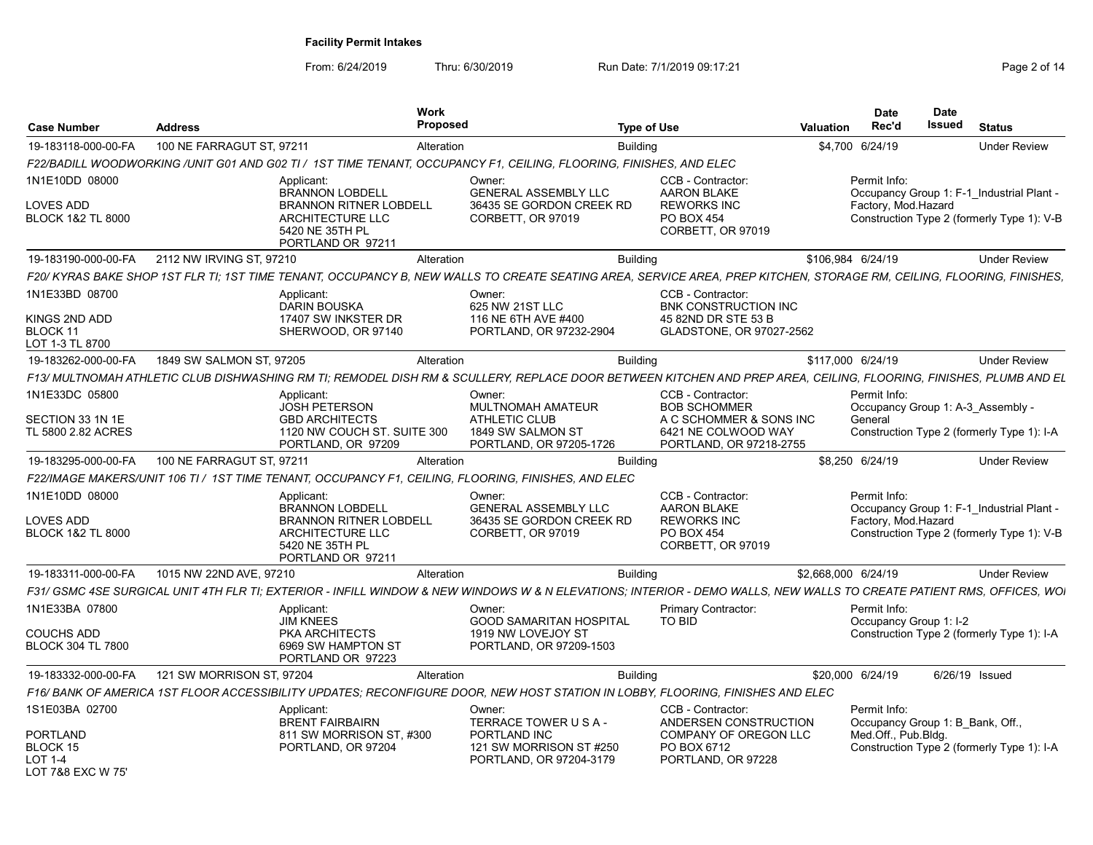| <b>Case Number</b>                                                 | Address                   |                                                                                                                     | Work<br>Proposed |                                                                                                                    | <b>Type of Use</b> |                                                                                                                                                                       | Valuation           | <b>Date</b><br>Rec'd                   | <b>Date</b><br>Issued | <b>Status</b>                                                                           |
|--------------------------------------------------------------------|---------------------------|---------------------------------------------------------------------------------------------------------------------|------------------|--------------------------------------------------------------------------------------------------------------------|--------------------|-----------------------------------------------------------------------------------------------------------------------------------------------------------------------|---------------------|----------------------------------------|-----------------------|-----------------------------------------------------------------------------------------|
| 19-183118-000-00-FA                                                | 100 NE FARRAGUT ST, 97211 |                                                                                                                     | Alteration       |                                                                                                                    | <b>Building</b>    |                                                                                                                                                                       | \$4,700 6/24/19     |                                        |                       | <b>Under Review</b>                                                                     |
|                                                                    |                           |                                                                                                                     |                  | F22/BADILL WOODWORKING /UNIT G01 AND G02 TI / 1ST TIME TENANT, OCCUPANCY F1, CEILING, FLOORING, FINISHES, AND ELEC |                    |                                                                                                                                                                       |                     |                                        |                       |                                                                                         |
| 1N1E10DD 08000                                                     |                           | Applicant                                                                                                           |                  | Owner:                                                                                                             |                    | CCB - Contractor:                                                                                                                                                     |                     | Permit Info:                           |                       |                                                                                         |
| LOVES ADD<br><b>BLOCK 1&amp;2 TL 8000</b>                          |                           | <b>BRANNON LOBDELI</b><br><b>BRANNON RITNER LOBDELL</b><br>ARCHITECTURE LLC<br>5420 NE 35TH PL<br>PORTLAND OR 97211 |                  | <b>GENERAL ASSEMBLY LLC</b><br>36435 SE GORDON CREEK RD<br>CORBETT, OR 97019                                       |                    | <b>AARON BLAKE</b><br><b>REWORKS INC</b><br>PO BOX 454<br>CORBETT, OR 97019                                                                                           |                     | Factory, Mod.Hazard                    |                       | Occupancy Group 1: F-1 Industrial Plant -<br>Construction Type 2 (formerly Type 1): V-B |
| 19-183190-000-00-FA                                                | 2112 NW IRVING ST. 97210  |                                                                                                                     | Alteration       |                                                                                                                    | <b>Building</b>    |                                                                                                                                                                       | \$106.984 6/24/19   |                                        |                       | <b>Under Review</b>                                                                     |
|                                                                    |                           |                                                                                                                     |                  |                                                                                                                    |                    | F20/ KYRAS BAKE SHOP 1ST FLR TI: 1ST TIME TENANT, OCCUPANCY B. NEW WALLS TO CREATE SEATING AREA. SERVICE AREA. PREP KITCHEN. STORAGE RM. CEILING. FLOORING. FINISHES. |                     |                                        |                       |                                                                                         |
| 1N1E33BD 08700                                                     |                           | Applicant:<br><b>DARIN BOUSKA</b>                                                                                   |                  | Owner:<br>625 NW 21ST LLC                                                                                          |                    | CCB - Contractor:<br>BNK CONSTRUCTION INC                                                                                                                             |                     |                                        |                       |                                                                                         |
| KINGS 2ND ADD<br>BLOCK 11<br>LOT 1-3 TL 8700                       |                           | 17407 SW INKSTER DR<br>SHERWOOD, OR 97140                                                                           |                  | 116 NE 6TH AVE #400<br>PORTLAND, OR 97232-2904                                                                     |                    | 45 82ND DR STE 53 B<br>GLADSTONE, OR 97027-2562                                                                                                                       |                     |                                        |                       |                                                                                         |
| 19-183262-000-00-FA                                                | 1849 SW SALMON ST, 97205  |                                                                                                                     | Alteration       |                                                                                                                    | <b>Building</b>    |                                                                                                                                                                       | \$117,000 6/24/19   |                                        |                       | <b>Under Review</b>                                                                     |
|                                                                    |                           |                                                                                                                     |                  |                                                                                                                    |                    | F13/ MULTNOMAH ATHLETIC CLUB DISHWASHING RM TI; REMODEL DISH RM & SCULLERY, REPLACE DOOR BETWEEN KITCHEN AND PREP AREA, CEILING, FLOORING, FINISHES, PLUMB AND EL     |                     |                                        |                       |                                                                                         |
| 1N1E33DC 05800                                                     |                           | Applicant<br><b>JOSH PETERSON</b>                                                                                   |                  | Owner:<br><b>MULTNOMAH AMATEUR</b>                                                                                 |                    | CCB - Contractor:<br><b>BOB SCHOMMER</b>                                                                                                                              |                     | Permit Info:                           |                       | Occupancy Group 1: A-3 Assembly -                                                       |
| SECTION 33 1N 1E<br>TL 5800 2.82 ACRES                             |                           | <b>GBD ARCHITECTS</b><br>1120 NW COUCH ST. SUITE 300<br>PORTLAND, OR 97209                                          |                  | <b>ATHLETIC CLUB</b><br>1849 SW SALMON ST<br>PORTLAND, OR 97205-1726                                               |                    | A C SCHOMMER & SONS INC<br>6421 NE COLWOOD WAY<br>PORTLAND, OR 97218-2755                                                                                             |                     | General                                |                       | Construction Type 2 (formerly Type 1): I-A                                              |
| 19-183295-000-00-FA                                                | 100 NE FARRAGUT ST, 97211 |                                                                                                                     | Alteration       |                                                                                                                    | <b>Building</b>    |                                                                                                                                                                       | \$8,250 6/24/19     |                                        |                       | <b>Under Review</b>                                                                     |
|                                                                    |                           |                                                                                                                     |                  | F22/IMAGE MAKERS/UNIT 106 TI / 1ST TIME TENANT, OCCUPANCY F1, CEILING, FLOORING, FINISHES, AND ELEC                |                    |                                                                                                                                                                       |                     |                                        |                       |                                                                                         |
| 1N1E10DD 08000                                                     |                           | Applicant:                                                                                                          |                  | Owner:                                                                                                             |                    | CCB - Contractor:                                                                                                                                                     |                     | Permit Info:                           |                       |                                                                                         |
| LOVES ADD<br><b>BLOCK 1&amp;2 TL 8000</b>                          |                           | <b>BRANNON LOBDELL</b><br><b>BRANNON RITNER LOBDELL</b><br>ARCHITECTURE LLC<br>5420 NE 35TH PL<br>PORTLAND OR 97211 |                  | <b>GENERAL ASSEMBLY LLC</b><br>36435 SE GORDON CREEK RD<br>CORBETT, OR 97019                                       |                    | <b>AARON BLAKE</b><br><b>REWORKS INC</b><br>PO BOX 454<br>CORBETT, OR 97019                                                                                           |                     | Factory, Mod.Hazard                    |                       | Occupancy Group 1: F-1 Industrial Plant -<br>Construction Type 2 (formerly Type 1): V-B |
| 19-183311-000-00-FA                                                | 1015 NW 22ND AVE, 97210   |                                                                                                                     | Alteration       |                                                                                                                    | <b>Building</b>    |                                                                                                                                                                       | \$2,668,000 6/24/19 |                                        |                       | <b>Under Review</b>                                                                     |
|                                                                    |                           |                                                                                                                     |                  |                                                                                                                    |                    | F31/ GSMC 4SE SURGICAL UNIT 4TH FLR TI; EXTERIOR - INFILL WINDOW & NEW WINDOWS W & N ELEVATIONS; INTERIOR - DEMO WALLS, NEW WALLS TO CREATE PATIENT RMS, OFFICES, WOI |                     |                                        |                       |                                                                                         |
| 1N1E33BA 07800                                                     |                           | Applicant:<br><b>JIM KNEES</b>                                                                                      |                  | Owner:<br>GOOD SAMARITAN HOSPITAL                                                                                  |                    | Primary Contractor:<br>TO BID                                                                                                                                         |                     | Permit Info:<br>Occupancy Group 1: I-2 |                       |                                                                                         |
| <b>COUCHS ADD</b><br><b>BLOCK 304 TL 7800</b>                      |                           | PKA ARCHITECTS<br>6969 SW HAMPTON ST<br>PORTLAND OR 97223                                                           |                  | 1919 NW LOVEJOY ST<br>PORTLAND, OR 97209-1503                                                                      |                    |                                                                                                                                                                       |                     |                                        |                       | Construction Type 2 (formerly Type 1): I-A                                              |
| 19-183332-000-00-FA                                                | 121 SW MORRISON ST, 97204 |                                                                                                                     | Alteration       |                                                                                                                    | Buildina           |                                                                                                                                                                       | \$20,000 6/24/19    |                                        |                       | 6/26/19 Issued                                                                          |
|                                                                    |                           |                                                                                                                     |                  |                                                                                                                    |                    | F16/ BANK OF AMERICA 1ST FLOOR ACCESSIBILITY UPDATES; RECONFIGURE DOOR, NEW HOST STATION IN LOBBY, FLOORING, FINISHES AND ELEC                                        |                     |                                        |                       |                                                                                         |
| 1S1E03BA 02700                                                     |                           | Applicant<br><b>BRENT FAIRBAIRN</b>                                                                                 |                  | Owner:<br>TERRACE TOWER U S A -                                                                                    |                    | CCB - Contractor:<br>ANDERSEN CONSTRUCTION                                                                                                                            |                     | Permit Info:                           |                       | Occupancy Group 1: B Bank, Off.                                                         |
| <b>PORTLAND</b><br>BLOCK 15<br><b>LOT 1-4</b><br>LOT 7&8 EXC W 75' |                           | 811 SW MORRISON ST. #300<br>PORTLAND, OR 97204                                                                      |                  | PORTLAND INC<br>121 SW MORRISON ST #250<br>PORTLAND, OR 97204-3179                                                 |                    | COMPANY OF OREGON LLC<br>PO BOX 6712<br>PORTLAND, OR 97228                                                                                                            |                     | Med.Off., Pub.Bldg.                    |                       | Construction Type 2 (formerly Type 1): I-A                                              |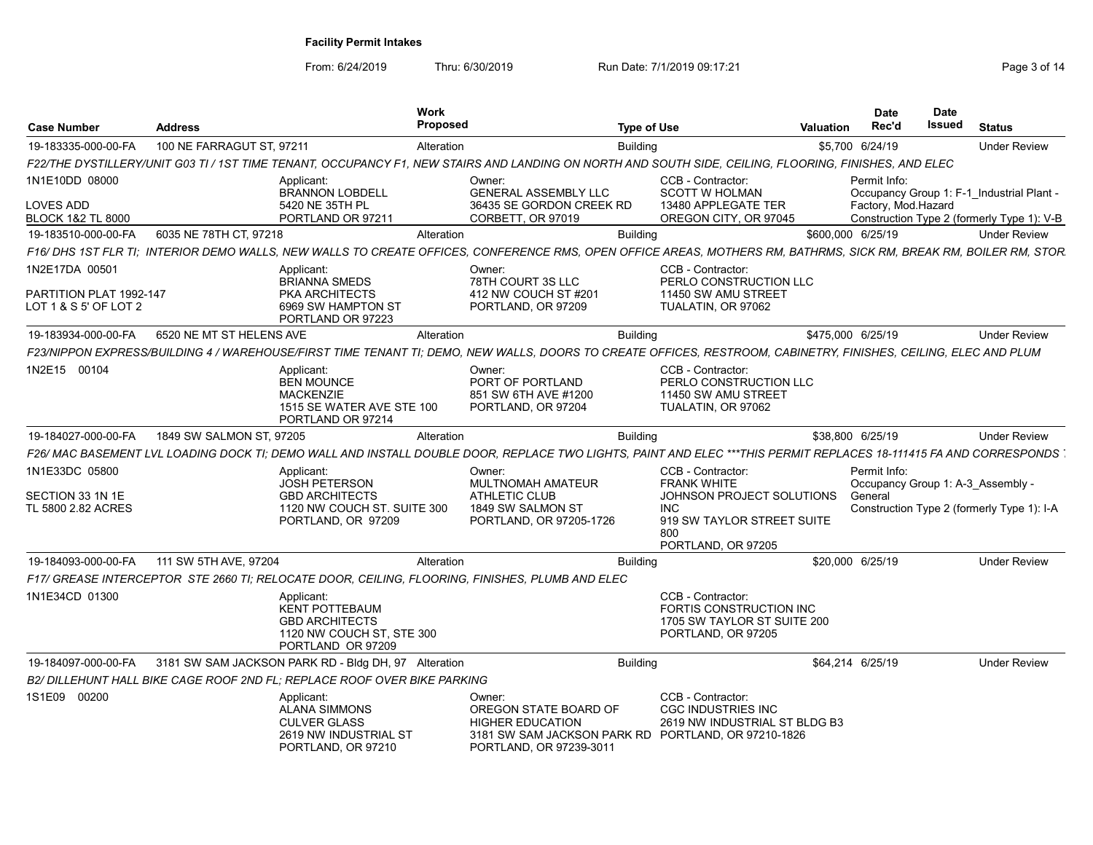| <b>Case Number</b>                               | <b>Address</b>            |                                                                                                                | <b>Work</b><br>Proposed |                                                                                                                                                                   | <b>Type of Use</b> |                                                                                                    | <b>Valuation</b>  | <b>Date</b><br>Rec'd | <b>Date</b><br>Issued                      | <b>Status</b>       |
|--------------------------------------------------|---------------------------|----------------------------------------------------------------------------------------------------------------|-------------------------|-------------------------------------------------------------------------------------------------------------------------------------------------------------------|--------------------|----------------------------------------------------------------------------------------------------|-------------------|----------------------|--------------------------------------------|---------------------|
| 19-183335-000-00-FA                              | 100 NE FARRAGUT ST, 97211 |                                                                                                                | Alteration              |                                                                                                                                                                   | <b>Building</b>    |                                                                                                    |                   | \$5,700 6/24/19      |                                            | <b>Under Review</b> |
|                                                  |                           |                                                                                                                |                         | F22/THE DYSTILLERY/UNIT G03 TI / 1ST TIME TENANT, OCCUPANCY F1, NEW STAIRS AND LANDING ON NORTH AND SOUTH SIDE, CEILING, FLOORING, FINISHES, AND ELEC             |                    |                                                                                                    |                   |                      |                                            |                     |
| 1N1E10DD 08000                                   |                           | Applicant:<br>BRANNON LOBDELL                                                                                  |                         | Owner:<br>GENERAL ASSEMBLY LLC                                                                                                                                    |                    | CCB - Contractor:<br><b>SCOTT W HOLMAN</b>                                                         |                   | Permit Info:         | Occupancy Group 1: F-1 Industrial Plant -  |                     |
| LOVES ADD                                        |                           | 5420 NE 35TH PL                                                                                                |                         | 36435 SE GORDON CREEK RD                                                                                                                                          |                    | 13480 APPLEGATE TER                                                                                |                   |                      | Factory, Mod.Hazard                        |                     |
| BLOCK 1&2 TL 8000<br>19-183510-000-00-FA         | 6035 NE 78TH CT, 97218    | PORTLAND OR 97211                                                                                              | Alteration              | CORBETT, OR 97019                                                                                                                                                 | <b>Building</b>    | OREGON CITY, OR 97045                                                                              | \$600,000 6/25/19 |                      | Construction Type 2 (formerly Type 1): V-B | <b>Under Review</b> |
|                                                  |                           |                                                                                                                |                         | F16/ DHS 1ST FLR TI; INTERIOR DEMO WALLS, NEW WALLS TO CREATE OFFICES, CONFERENCE RMS, OPEN OFFICE AREAS, MOTHERS RM, BATHRMS, SICK RM, BREAK RM, BOILER RM, STOR |                    |                                                                                                    |                   |                      |                                            |                     |
| 1N2E17DA 00501                                   |                           | Applicant:                                                                                                     |                         | Owner:                                                                                                                                                            |                    | CCB - Contractor:                                                                                  |                   |                      |                                            |                     |
| PARTITION PLAT 1992-147<br>LOT 1 & S 5' OF LOT 2 |                           | <b>BRIANNA SMEDS</b><br>PKA ARCHITECTS<br>6969 SW HAMPTON ST<br>PORTLAND OR 97223                              |                         | 78TH COURT 3S LLC<br>412 NW COUCH ST #201<br>PORTLAND, OR 97209                                                                                                   |                    | PERLO CONSTRUCTION LLC<br>11450 SW AMU STREET<br>TUALATIN, OR 97062                                |                   |                      |                                            |                     |
| 19-183934-000-00-FA                              | 6520 NE MT ST HELENS AVE  |                                                                                                                | Alteration              |                                                                                                                                                                   | <b>Building</b>    |                                                                                                    | \$475,000 6/25/19 |                      |                                            | <b>Under Review</b> |
|                                                  |                           |                                                                                                                |                         | F23/NIPPON EXPRESS/BUILDING 4 / WAREHOUSE/FIRST TIME TENANT TI; DEMO, NEW WALLS, DOORS TO CREATE OFFICES, RESTROOM, CABINETRY, FINISHES, CEILING, ELEC AND PLUM   |                    |                                                                                                    |                   |                      |                                            |                     |
| 1N2E15 00104                                     |                           | Applicant:<br><b>BEN MOUNCE</b><br><b>MACKENZIE</b><br>1515 SE WATER AVE STE 100<br>PORTLAND OR 97214          |                         | Owner:<br>PORT OF PORTLAND<br>851 SW 6TH AVE #1200<br>PORTLAND, OR 97204                                                                                          |                    | CCB - Contractor:<br>PERLO CONSTRUCTION LLC<br>11450 SW AMU STREET<br>TUALATIN, OR 97062           |                   |                      |                                            |                     |
| 19-184027-000-00-FA                              | 1849 SW SALMON ST, 97205  |                                                                                                                | Alteration              |                                                                                                                                                                   | <b>Building</b>    |                                                                                                    |                   | \$38,800 6/25/19     |                                            | <b>Under Review</b> |
|                                                  |                           |                                                                                                                |                         | F26/ MAC BASEMENT LVL LOADING DOCK TI; DEMO WALL AND INSTALL DOUBLE DOOR, REPLACE TWO LIGHTS, PAINT AND ELEC ***THIS PERMIT REPLACES 18-111415 FA AND CORRESPONDS |                    |                                                                                                    |                   |                      |                                            |                     |
| 1N1E33DC 05800                                   |                           | Applicant:<br><b>JOSH PETERSON</b>                                                                             |                         | Owner:<br><b>MULTNOMAH AMATEUR</b>                                                                                                                                |                    | CCB - Contractor:<br><b>FRANK WHITE</b>                                                            |                   | Permit Info:         | Occupancy Group 1: A-3 Assembly -          |                     |
| SECTION 33 1N 1E<br>TL 5800 2.82 ACRES           |                           | <b>GBD ARCHITECTS</b><br>1120 NW COUCH ST. SUITE 300<br>PORTLAND, OR 97209                                     |                         | <b>ATHLETIC CLUB</b><br>1849 SW SALMON ST<br>PORTLAND, OR 97205-1726                                                                                              |                    | JOHNSON PROJECT SOLUTIONS<br><b>INC</b><br>919 SW TAYLOR STREET SUITE<br>800<br>PORTLAND, OR 97205 |                   | General              | Construction Type 2 (formerly Type 1): I-A |                     |
| 19-184093-000-00-FA                              | 111 SW 5TH AVE, 97204     |                                                                                                                | Alteration              |                                                                                                                                                                   | <b>Building</b>    |                                                                                                    |                   | \$20,000 6/25/19     |                                            | <b>Under Review</b> |
|                                                  |                           |                                                                                                                |                         | F17/ GREASE INTERCEPTOR STE 2660 TI: RELOCATE DOOR, CEILING, FLOORING, FINISHES, PLUMB AND ELEC                                                                   |                    |                                                                                                    |                   |                      |                                            |                     |
| 1N1E34CD 01300                                   |                           | Applicant:<br><b>KENT POTTEBAUM</b><br><b>GBD ARCHITECTS</b><br>1120 NW COUCH ST, STE 300<br>PORTLAND OR 97209 |                         |                                                                                                                                                                   |                    | CCB - Contractor:<br>FORTIS CONSTRUCTION INC<br>1705 SW TAYLOR ST SUITE 200<br>PORTLAND, OR 97205  |                   |                      |                                            |                     |
| 19-184097-000-00-FA                              |                           | 3181 SW SAM JACKSON PARK RD - Bldg DH, 97 Alteration                                                           |                         |                                                                                                                                                                   | <b>Building</b>    |                                                                                                    |                   | \$64,214 6/25/19     |                                            | <b>Under Review</b> |
|                                                  |                           | B2/ DILLEHUNT HALL BIKE CAGE ROOF 2ND FL; REPLACE ROOF OVER BIKE PARKING                                       |                         |                                                                                                                                                                   |                    |                                                                                                    |                   |                      |                                            |                     |
| 1S1E09 00200                                     |                           | Applicant:<br><b>ALANA SIMMONS</b><br><b>CULVER GLASS</b><br>2619 NW INDUSTRIAL ST<br>PORTLAND, OR 97210       |                         | Owner:<br>OREGON STATE BOARD OF<br><b>HIGHER EDUCATION</b><br>3181 SW SAM JACKSON PARK RD PORTLAND, OR 97210-1826<br>PORTLAND, OR 97239-3011                      |                    | CCB - Contractor:<br><b>CGC INDUSTRIES INC</b><br>2619 NW INDUSTRIAL ST BLDG B3                    |                   |                      |                                            |                     |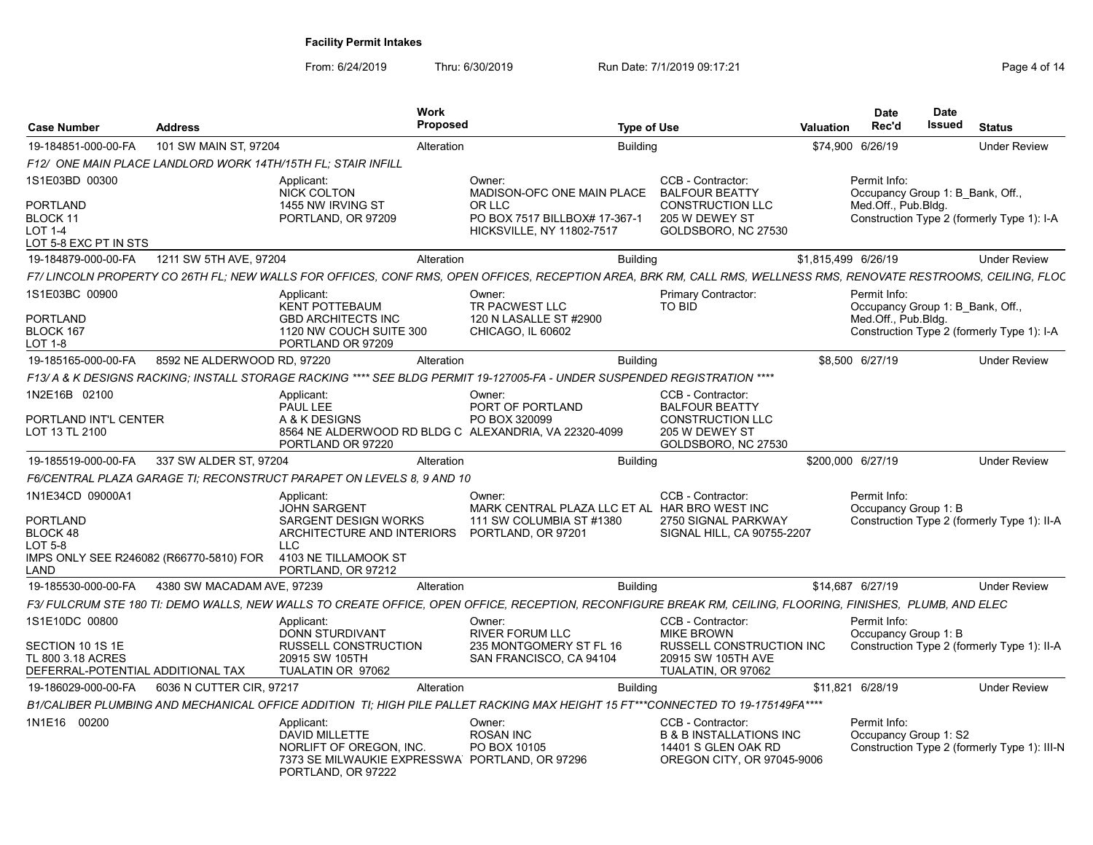| <b>Case Number</b>                                                                                     | <b>Address</b>              |                                                                                                                                                                        | <b>Work</b><br><b>Proposed</b> |                                                                                                                                                                   | <b>Type of Use</b> |                                                                                                                | Valuation           | <b>Date</b><br>Rec'd                                                    | <b>Date</b><br>Issued | <b>Status</b>                                |
|--------------------------------------------------------------------------------------------------------|-----------------------------|------------------------------------------------------------------------------------------------------------------------------------------------------------------------|--------------------------------|-------------------------------------------------------------------------------------------------------------------------------------------------------------------|--------------------|----------------------------------------------------------------------------------------------------------------|---------------------|-------------------------------------------------------------------------|-----------------------|----------------------------------------------|
| 19-184851-000-00-FA                                                                                    | 101 SW MAIN ST, 97204       |                                                                                                                                                                        | Alteration                     |                                                                                                                                                                   | <b>Building</b>    |                                                                                                                | \$74,900 6/26/19    |                                                                         |                       | <b>Under Review</b>                          |
|                                                                                                        |                             | F12/ ONE MAIN PLACE LANDLORD WORK 14TH/15TH FL; STAIR INFILL                                                                                                           |                                |                                                                                                                                                                   |                    |                                                                                                                |                     |                                                                         |                       |                                              |
| 1S1E03BD 00300                                                                                         |                             | Applicant:<br><b>NICK COLTON</b>                                                                                                                                       |                                | Owner:<br>MADISON-OFC ONE MAIN PLACE                                                                                                                              |                    | CCB - Contractor:<br><b>BALFOUR BEATTY</b>                                                                     |                     | Permit Info:<br>Occupancy Group 1: B Bank, Off.,                        |                       |                                              |
| PORTLAND<br>BLOCK 11<br>LOT 1-4<br>LOT 5-8 EXC PT IN STS                                               |                             | 1455 NW IRVING ST<br>PORTLAND, OR 97209                                                                                                                                |                                | OR LLC<br>PO BOX 7517 BILLBOX# 17-367-1<br><b>HICKSVILLE, NY 11802-7517</b>                                                                                       |                    | <b>CONSTRUCTION LLC</b><br>205 W DEWEY ST<br>GOLDSBORO, NC 27530                                               |                     | Med.Off., Pub.Bldg.                                                     |                       | Construction Type 2 (formerly Type 1): I-A   |
| 19-184879-000-00-FA                                                                                    | 1211 SW 5TH AVE, 97204      |                                                                                                                                                                        | Alteration                     |                                                                                                                                                                   | <b>Building</b>    |                                                                                                                | \$1,815,499 6/26/19 |                                                                         |                       | <b>Under Review</b>                          |
|                                                                                                        |                             |                                                                                                                                                                        |                                | F7/ LINCOLN PROPERTY CO 26TH FL; NEW WALLS FOR OFFICES, CONF RMS, OPEN OFFICES, RECEPTION AREA, BRK RM, CALL RMS, WELLNESS RMS, RENOVATE RESTROOMS, CEILING, FLOC |                    |                                                                                                                |                     |                                                                         |                       |                                              |
| 1S1E03BC 00900<br>PORTLAND<br>BLOCK 167<br>LOT 1-8                                                     |                             | Applicant:<br><b>KENT POTTEBAUM</b><br><b>GBD ARCHITECTS INC</b><br>1120 NW COUCH SUITE 300<br>PORTLAND OR 97209                                                       |                                | Owner:<br>TR PACWEST LLC<br>120 N LASALLE ST #2900<br>CHICAGO, IL 60602                                                                                           |                    | Primary Contractor:<br>TO BID                                                                                  |                     | Permit Info:<br>Occupancy Group 1: B Bank, Off.,<br>Med.Off., Pub.Bldg. |                       | Construction Type 2 (formerly Type 1): I-A   |
| 19-185165-000-00-FA                                                                                    | 8592 NE ALDERWOOD RD, 97220 |                                                                                                                                                                        | Alteration                     |                                                                                                                                                                   | <b>Building</b>    |                                                                                                                |                     | \$8,500 6/27/19                                                         |                       | <b>Under Review</b>                          |
|                                                                                                        |                             |                                                                                                                                                                        |                                | F13/ A & K DESIGNS RACKING: INSTALL STORAGE RACKING **** SEE BLDG PERMIT 19-127005-FA - UNDER SUSPENDED REGISTRATION ****                                         |                    |                                                                                                                |                     |                                                                         |                       |                                              |
| 1N2E16B 02100<br>PORTLAND INT'L CENTER                                                                 |                             | Applicant:<br>PAUL LEE<br>A & K DESIGNS                                                                                                                                |                                | Owner:<br>PORT OF PORTLAND<br>PO BOX 320099                                                                                                                       |                    | CCB - Contractor:<br><b>BALFOUR BEATTY</b><br><b>CONSTRUCTION LLC</b>                                          |                     |                                                                         |                       |                                              |
| LOT 13 TL 2100                                                                                         |                             | PORTLAND OR 97220                                                                                                                                                      |                                | 8564 NE ALDERWOOD RD BLDG C ALEXANDRIA, VA 22320-4099                                                                                                             |                    | 205 W DEWEY ST<br>GOLDSBORO, NC 27530                                                                          |                     |                                                                         |                       |                                              |
| 19-185519-000-00-FA                                                                                    | 337 SW ALDER ST, 97204      |                                                                                                                                                                        | Alteration                     |                                                                                                                                                                   | <b>Building</b>    |                                                                                                                | \$200,000 6/27/19   |                                                                         |                       | <b>Under Review</b>                          |
|                                                                                                        |                             | F6/CENTRAL PLAZA GARAGE TI: RECONSTRUCT PARAPET ON LEVELS 8, 9 AND 10                                                                                                  |                                |                                                                                                                                                                   |                    |                                                                                                                |                     |                                                                         |                       |                                              |
| 1N1E34CD 09000A1<br>PORTLAND<br>BLOCK 48<br>LOT 5-8<br>IMPS ONLY SEE R246082 (R66770-5810) FOR<br>LAND |                             | Applicant:<br>JOHN SARGENT<br><b>SARGENT DESIGN WORKS</b><br>ARCHITECTURE AND INTERIORS PORTLAND, OR 97201<br><b>LLC</b><br>4103 NE TILLAMOOK ST<br>PORTLAND, OR 97212 |                                | Owner:<br>MARK CENTRAL PLAZA LLC ET AL HAR BRO WEST INC<br>111 SW COLUMBIA ST #1380                                                                               |                    | CCB - Contractor:<br>2750 SIGNAL PARKWAY<br>SIGNAL HILL, CA 90755-2207                                         |                     | Permit Info:<br>Occupancy Group 1: B                                    |                       | Construction Type 2 (formerly Type 1): II-A  |
| 19-185530-000-00-FA                                                                                    | 4380 SW MACADAM AVE, 97239  |                                                                                                                                                                        | Alteration                     |                                                                                                                                                                   | <b>Building</b>    |                                                                                                                | \$14,687 6/27/19    |                                                                         |                       | <b>Under Review</b>                          |
|                                                                                                        |                             |                                                                                                                                                                        |                                | F3/ FULCRUM STE 180 TI: DEMO WALLS, NEW WALLS TO CREATE OFFICE, OPEN OFFICE, RECEPTION, RECONFIGURE BREAK RM, CEILING, FLOORING, FINISHES, PLUMB, AND ELEC        |                    |                                                                                                                |                     |                                                                         |                       |                                              |
| 1S1E10DC 00800<br>SECTION 10 1S 1E<br>TL 800 3.18 ACRES<br>DEFERRAL-POTENTIAL ADDITIONAL TAX           |                             | Applicant:<br>DONN STURDIVANT<br>RUSSELL CONSTRUCTION<br>20915 SW 105TH<br>TUALATIN OR 97062                                                                           |                                | Owner:<br><b>RIVER FORUM LLC</b><br>235 MONTGOMERY ST FL 16<br>SAN FRANCISCO, CA 94104                                                                            |                    | CCB - Contractor:<br><b>MIKE BROWN</b><br>RUSSELL CONSTRUCTION INC<br>20915 SW 105TH AVE<br>TUALATIN, OR 97062 |                     | Permit Info:<br>Occupancy Group 1: B                                    |                       | Construction Type 2 (formerly Type 1): II-A  |
| 19-186029-000-00-FA                                                                                    | 6036 N CUTTER CIR, 97217    |                                                                                                                                                                        | Alteration                     |                                                                                                                                                                   | <b>Building</b>    |                                                                                                                | \$11,821 6/28/19    |                                                                         |                       | <b>Under Review</b>                          |
|                                                                                                        |                             |                                                                                                                                                                        |                                | B1/CALIBER PLUMBING AND MECHANICAL OFFICE ADDITION TI; HIGH PILE PALLET RACKING MAX HEIGHT 15 FT***CONNECTED TO 19-175149FA****                                   |                    |                                                                                                                |                     |                                                                         |                       |                                              |
| 1N1E16 00200                                                                                           |                             | Applicant:<br><b>DAVID MILLETTE</b><br>NORLIFT OF OREGON, INC.<br>7373 SE MILWAUKIE EXPRESSWA PORTLAND, OR 97296<br>PORTLAND, OR 97222                                 |                                | Owner:<br><b>ROSAN INC</b><br>PO BOX 10105                                                                                                                        |                    | CCB - Contractor:<br><b>B &amp; B INSTALLATIONS INC</b><br>14401 S GLEN OAK RD<br>OREGON CITY, OR 97045-9006   |                     | Permit Info:<br>Occupancy Group 1: S2                                   |                       | Construction Type 2 (formerly Type 1): III-N |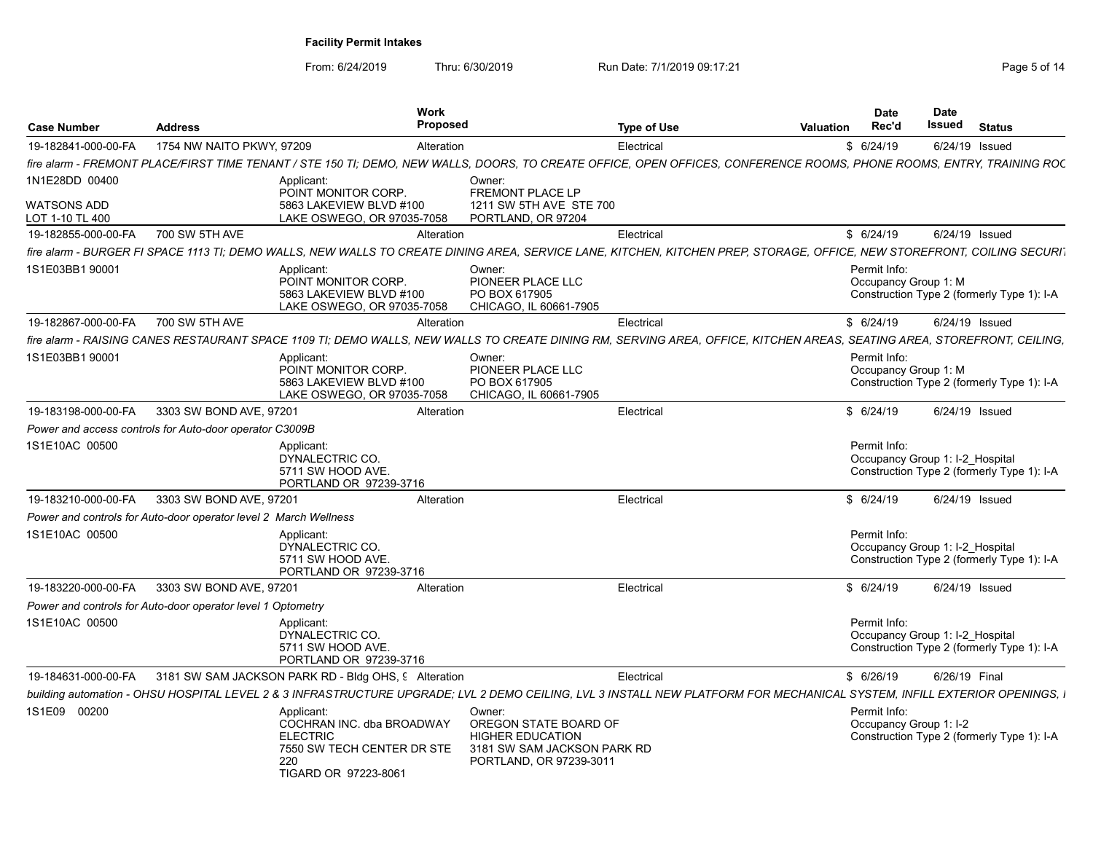From: 6/24/2019 Thru: 6/30/2019 Run Date: 7/1/2019 09:17:21 Thru: 6/24/2019 Page

| Page 5 of 14 |  |  |  |
|--------------|--|--|--|
|--------------|--|--|--|

| <b>Case Number</b>                    | <b>Address</b>                                                   |                                                                                                                         | <b>Work</b><br>Proposed                                                                                                                                                   | <b>Type of Use</b> | Valuation | <b>Date</b><br>Rec'd                            | <b>Date</b><br>Issued | <b>Status</b>                              |
|---------------------------------------|------------------------------------------------------------------|-------------------------------------------------------------------------------------------------------------------------|---------------------------------------------------------------------------------------------------------------------------------------------------------------------------|--------------------|-----------|-------------------------------------------------|-----------------------|--------------------------------------------|
| 19-182841-000-00-FA                   | 1754 NW NAITO PKWY, 97209                                        |                                                                                                                         | Alteration                                                                                                                                                                | Electrical         |           | \$6/24/19                                       | 6/24/19 Issued        |                                            |
|                                       |                                                                  |                                                                                                                         | fire alarm - FREMONT PLACE/FIRST TIME TENANT / STE 150 TI: DEMO. NEW WALLS. DOORS. TO CREATE OFFICE, OPEN OFFICES. CONFERENCE ROOMS. PHONE ROOMS, ENTRY, TRAINING ROC     |                    |           |                                                 |                       |                                            |
| 1N1E28DD 00400                        |                                                                  | Applicant:<br>POINT MONITOR CORP.                                                                                       | Owner:<br>FREMONT PLACE LP                                                                                                                                                |                    |           |                                                 |                       |                                            |
| <b>WATSONS ADD</b><br>LOT 1-10 TL 400 |                                                                  | 5863 LAKEVIEW BLVD #100<br>LAKE OSWEGO, OR 97035-7058                                                                   | 1211 SW 5TH AVE STE 700<br>PORTLAND, OR 97204                                                                                                                             |                    |           |                                                 |                       |                                            |
| 19-182855-000-00-FA                   | 700 SW 5TH AVE                                                   |                                                                                                                         | Alteration                                                                                                                                                                | Electrical         |           | \$6/24/19                                       | 6/24/19 Issued        |                                            |
|                                       |                                                                  |                                                                                                                         | fire alarm - BURGER FI SPACE 1113 TI; DEMO WALLS, NEW WALLS TO CREATE DINING AREA, SERVICE LANE, KITCHEN, KITCHEN PREP, STORAGE, OFFICE, NEW STOREFRONT, COILING SECURI.  |                    |           |                                                 |                       |                                            |
| 1S1E03BB1 90001                       |                                                                  | Applicant:<br>POINT MONITOR CORP.<br>5863 LAKEVIEW BLVD #100<br>LAKE OSWEGO, OR 97035-7058                              | Owner:<br>PIONEER PLACE LLC<br>PO BOX 617905<br>CHICAGO, IL 60661-7905                                                                                                    |                    |           | Permit Info:<br>Occupancy Group 1: M            |                       | Construction Type 2 (formerly Type 1): I-A |
| 19-182867-000-00-FA                   | 700 SW 5TH AVE                                                   |                                                                                                                         | Alteration                                                                                                                                                                | Electrical         |           | \$6/24/19                                       | 6/24/19 Issued        |                                            |
|                                       |                                                                  |                                                                                                                         | fire alarm - RAISING CANES RESTAURANT SPACE 1109 TI; DEMO WALLS, NEW WALLS TO CREATE DINING RM, SERVING AREA, OFFICE, KITCHEN AREAS, SEATING AREA, STOREFRONT, CEILING,   |                    |           |                                                 |                       |                                            |
| 1S1E03BB1 90001                       |                                                                  | Applicant:<br>POINT MONITOR CORP.<br>5863 LAKEVIEW BLVD #100<br>LAKE OSWEGO, OR 97035-7058                              | Owner:<br>PIONEER PLACE LLC<br>PO BOX 617905<br>CHICAGO, IL 60661-7905                                                                                                    |                    |           | Permit Info:<br>Occupancy Group 1: M            |                       | Construction Type 2 (formerly Type 1): I-A |
| 19-183198-000-00-FA                   | 3303 SW BOND AVE, 97201                                          |                                                                                                                         | Alteration                                                                                                                                                                | Electrical         |           | \$6/24/19                                       | 6/24/19 Issued        |                                            |
|                                       | Power and access controls for Auto-door operator C3009B          |                                                                                                                         |                                                                                                                                                                           |                    |           |                                                 |                       |                                            |
| 1S1E10AC 00500                        |                                                                  | Applicant:<br>DYNALECTRIC CO.<br>5711 SW HOOD AVE.<br>PORTLAND OR 97239-3716                                            |                                                                                                                                                                           |                    |           | Permit Info:<br>Occupancy Group 1: I-2 Hospital |                       | Construction Type 2 (formerly Type 1): I-A |
| 19-183210-000-00-FA                   | 3303 SW BOND AVE, 97201                                          |                                                                                                                         | Alteration                                                                                                                                                                | Electrical         |           | \$6/24/19                                       | 6/24/19 Issued        |                                            |
|                                       | Power and controls for Auto-door operator level 2 March Wellness |                                                                                                                         |                                                                                                                                                                           |                    |           |                                                 |                       |                                            |
| 1S1E10AC 00500                        |                                                                  | Applicant:<br>DYNALECTRIC CO.<br>5711 SW HOOD AVE.<br>PORTLAND OR 97239-3716                                            |                                                                                                                                                                           |                    |           | Permit Info:<br>Occupancy Group 1: I-2_Hospital |                       | Construction Type 2 (formerly Type 1): I-A |
| 19-183220-000-00-FA                   | 3303 SW BOND AVE, 97201                                          |                                                                                                                         | Alteration                                                                                                                                                                | Electrical         |           | \$6/24/19                                       | 6/24/19 Issued        |                                            |
|                                       | Power and controls for Auto-door operator level 1 Optometry      |                                                                                                                         |                                                                                                                                                                           |                    |           |                                                 |                       |                                            |
| 1S1E10AC 00500                        |                                                                  | Applicant:<br>DYNALECTRIC CO.<br>5711 SW HOOD AVE.<br>PORTLAND OR 97239-3716                                            |                                                                                                                                                                           |                    |           | Permit Info:<br>Occupancy Group 1: I-2 Hospital |                       | Construction Type 2 (formerly Type 1): I-A |
| 19-184631-000-00-FA                   |                                                                  | 3181 SW SAM JACKSON PARK RD - Bldg OHS, 9 Alteration                                                                    |                                                                                                                                                                           | Electrical         |           | \$6/26/19                                       | 6/26/19 Final         |                                            |
|                                       |                                                                  |                                                                                                                         | building automation - OHSU HOSPITAL LEVEL 2 & 3 INFRASTRUCTURE UPGRADE: LVL 2 DEMO CEILING. LVL 3 INSTALL NEW PLATFORM FOR MECHANICAL SYSTEM. INFILL EXTERIOR OPENINGS. I |                    |           |                                                 |                       |                                            |
| 1S1E09 00200                          |                                                                  | Applicant:<br>COCHRAN INC. dba BROADWAY<br><b>ELECTRIC</b><br>7550 SW TECH CENTER DR STE<br>220<br>TIGARD OR 97223-8061 | Owner:<br>OREGON STATE BOARD OF<br><b>HIGHER EDUCATION</b><br>3181 SW SAM JACKSON PARK RD<br>PORTLAND, OR 97239-3011                                                      |                    |           | Permit Info:<br>Occupancy Group 1: I-2          |                       | Construction Type 2 (formerly Type 1): I-A |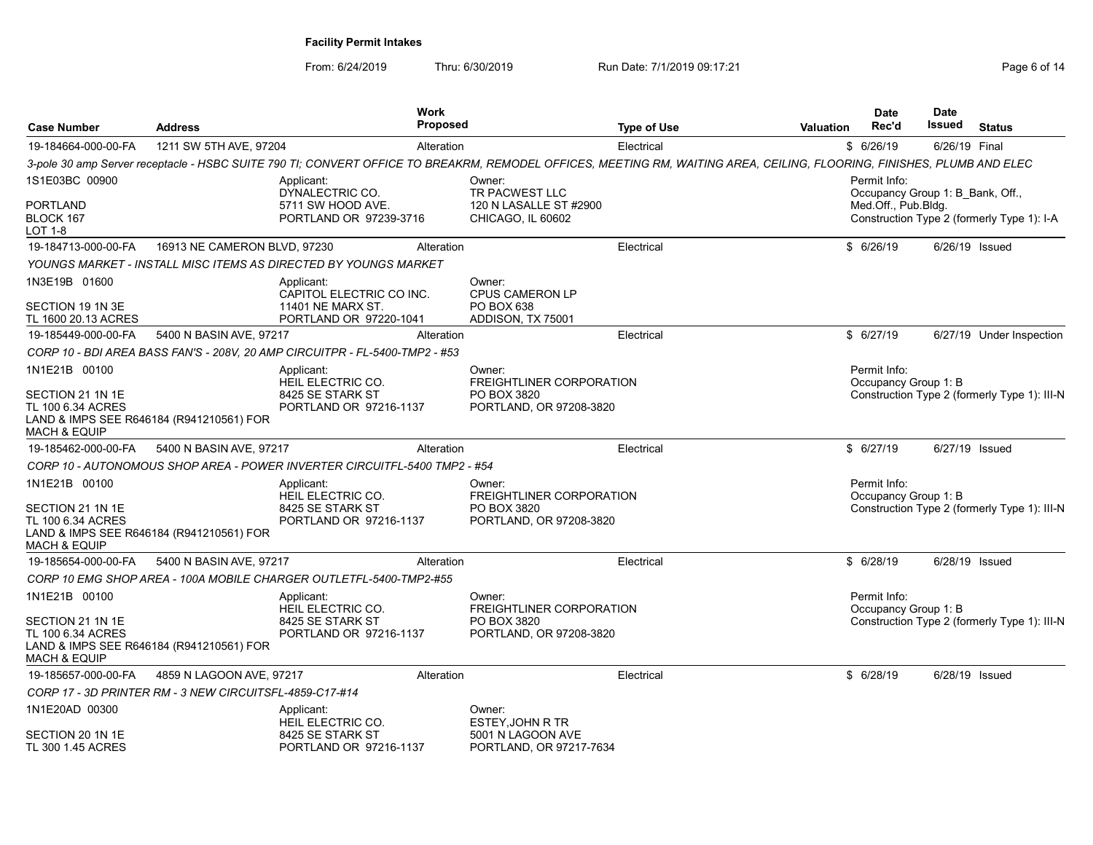| <b>Case Number</b>                                                     | <b>Address</b>                                          | <b>Work</b><br><b>Proposed</b>                                                                                                                                         |                                                                              | <b>Type of Use</b> | <b>Valuation</b> | <b>Date</b><br>Rec'd                             | Date<br>Issued | <b>Status</b>                                |
|------------------------------------------------------------------------|---------------------------------------------------------|------------------------------------------------------------------------------------------------------------------------------------------------------------------------|------------------------------------------------------------------------------|--------------------|------------------|--------------------------------------------------|----------------|----------------------------------------------|
| 19-184664-000-00-FA                                                    | 1211 SW 5TH AVE, 97204                                  | Alteration                                                                                                                                                             |                                                                              | Electrical         |                  | \$6/26/19                                        | 6/26/19 Final  |                                              |
|                                                                        |                                                         | 3-pole 30 amp Server receptacle - HSBC SUITE 790 TI; CONVERT OFFICE TO BREAKRM, REMODEL OFFICES, MEETING RM, WAITING AREA, CEILING, FLOORING, FINISHES, PLUMB AND ELEC |                                                                              |                    |                  |                                                  |                |                                              |
| 1S1E03BC 00900                                                         |                                                         | Applicant:<br>DYNALECTRIC CO.                                                                                                                                          | Owner:<br>TR PACWEST LLC                                                     |                    |                  | Permit Info:<br>Occupancy Group 1: B Bank, Off., |                |                                              |
| PORTLAND<br>BLOCK 167<br>LOT 1-8                                       |                                                         | 5711 SW HOOD AVE.<br>PORTLAND OR 97239-3716                                                                                                                            | 120 N LASALLE ST #2900<br>CHICAGO, IL 60602                                  |                    |                  | Med.Off., Pub.Bldg.                              |                | Construction Type 2 (formerly Type 1): I-A   |
| 19-184713-000-00-FA                                                    | 16913 NE CAMERON BLVD, 97230                            | Alteration                                                                                                                                                             |                                                                              | Electrical         |                  | \$6/26/19                                        | 6/26/19 Issued |                                              |
|                                                                        |                                                         | YOUNGS MARKET - INSTALL MISC ITEMS AS DIRECTED BY YOUNGS MARKET                                                                                                        |                                                                              |                    |                  |                                                  |                |                                              |
| 1N3E19B 01600                                                          |                                                         | Applicant:                                                                                                                                                             | Owner:                                                                       |                    |                  |                                                  |                |                                              |
| SECTION 19 1N 3E<br>TL 1600 20.13 ACRES                                |                                                         | CAPITOL ELECTRIC CO INC.<br>11401 NE MARX ST.<br>PORTLAND OR 97220-1041                                                                                                | <b>CPUS CAMERON LP</b><br>PO BOX 638<br>ADDISON, TX 75001                    |                    |                  |                                                  |                |                                              |
| 19-185449-000-00-FA                                                    | 5400 N BASIN AVE, 97217                                 | Alteration                                                                                                                                                             |                                                                              | Electrical         |                  | \$6/27/19                                        |                | 6/27/19 Under Inspection                     |
|                                                                        |                                                         | CORP 10 - BDI AREA BASS FAN'S - 208V, 20 AMP CIRCUITPR - FL-5400-TMP2 - #53                                                                                            |                                                                              |                    |                  |                                                  |                |                                              |
| 1N1E21B 00100                                                          |                                                         | Applicant:                                                                                                                                                             | Owner:                                                                       |                    |                  | Permit Info:                                     |                |                                              |
| SECTION 21 1N 1E<br>TL 100 6.34 ACRES<br>MACH & EQUIP                  | LAND & IMPS SEE R646184 (R941210561) FOR                | HEIL ELECTRIC CO.<br>8425 SE STARK ST<br>PORTLAND OR 97216-1137                                                                                                        | FREIGHTLINER CORPORATION<br>PO BOX 3820<br>PORTLAND, OR 97208-3820           |                    |                  | Occupancy Group 1: B                             |                | Construction Type 2 (formerly Type 1): III-N |
| 19-185462-000-00-FA                                                    | 5400 N BASIN AVE, 97217                                 | Alteration                                                                                                                                                             |                                                                              | Electrical         |                  | \$6/27/19                                        | 6/27/19 Issued |                                              |
|                                                                        |                                                         | CORP 10 - AUTONOMOUS SHOP AREA - POWER INVERTER CIRCUITFL-5400 TMP2 - #54                                                                                              |                                                                              |                    |                  |                                                  |                |                                              |
| 1N1E21B 00100<br>SECTION 21 1N 1E<br>TL 100 6.34 ACRES<br>MACH & EQUIP | LAND & IMPS SEE R646184 (R941210561) FOR                | Applicant:<br>HEIL ELECTRIC CO.<br>8425 SE STARK ST<br>PORTLAND OR 97216-1137                                                                                          | Owner:<br>FREIGHTLINER CORPORATION<br>PO BOX 3820<br>PORTLAND, OR 97208-3820 |                    |                  | Permit Info:<br>Occupancy Group 1: B             |                | Construction Type 2 (formerly Type 1): III-N |
| 19-185654-000-00-FA                                                    | 5400 N BASIN AVE, 97217                                 | Alteration                                                                                                                                                             |                                                                              | Electrical         |                  | \$6/28/19                                        | 6/28/19 Issued |                                              |
|                                                                        |                                                         | CORP 10 EMG SHOP AREA - 100A MOBILE CHARGER OUTLETFL-5400-TMP2-#55                                                                                                     |                                                                              |                    |                  |                                                  |                |                                              |
| 1N1E21B 00100                                                          |                                                         | Applicant:<br>HEIL ELECTRIC CO.                                                                                                                                        | Owner:<br>FREIGHTLINER CORPORATION                                           |                    |                  | Permit Info:<br>Occupancy Group 1: B             |                |                                              |
| SECTION 21 1N 1E<br>TL 100 6.34 ACRES<br>MACH & EQUIP                  | LAND & IMPS SEE R646184 (R941210561) FOR                | 8425 SE STARK ST<br>PORTLAND OR 97216-1137                                                                                                                             | PO BOX 3820<br>PORTLAND, OR 97208-3820                                       |                    |                  |                                                  |                | Construction Type 2 (formerly Type 1): III-N |
| 19-185657-000-00-FA                                                    | 4859 N LAGOON AVE, 97217                                | Alteration                                                                                                                                                             |                                                                              | Electrical         |                  | \$6/28/19                                        | 6/28/19 Issued |                                              |
|                                                                        | CORP 17 - 3D PRINTER RM - 3 NEW CIRCUITSFL-4859-C17-#14 |                                                                                                                                                                        |                                                                              |                    |                  |                                                  |                |                                              |
| 1N1E20AD 00300                                                         |                                                         | Applicant:<br>HEIL ELECTRIC CO.                                                                                                                                        | Owner:<br><b>ESTEY, JOHN R TR</b>                                            |                    |                  |                                                  |                |                                              |
| SECTION 20 1N 1E<br>TL 300 1.45 ACRES                                  |                                                         | 8425 SE STARK ST<br>PORTLAND OR 97216-1137                                                                                                                             | 5001 N LAGOON AVE<br>PORTLAND, OR 97217-7634                                 |                    |                  |                                                  |                |                                              |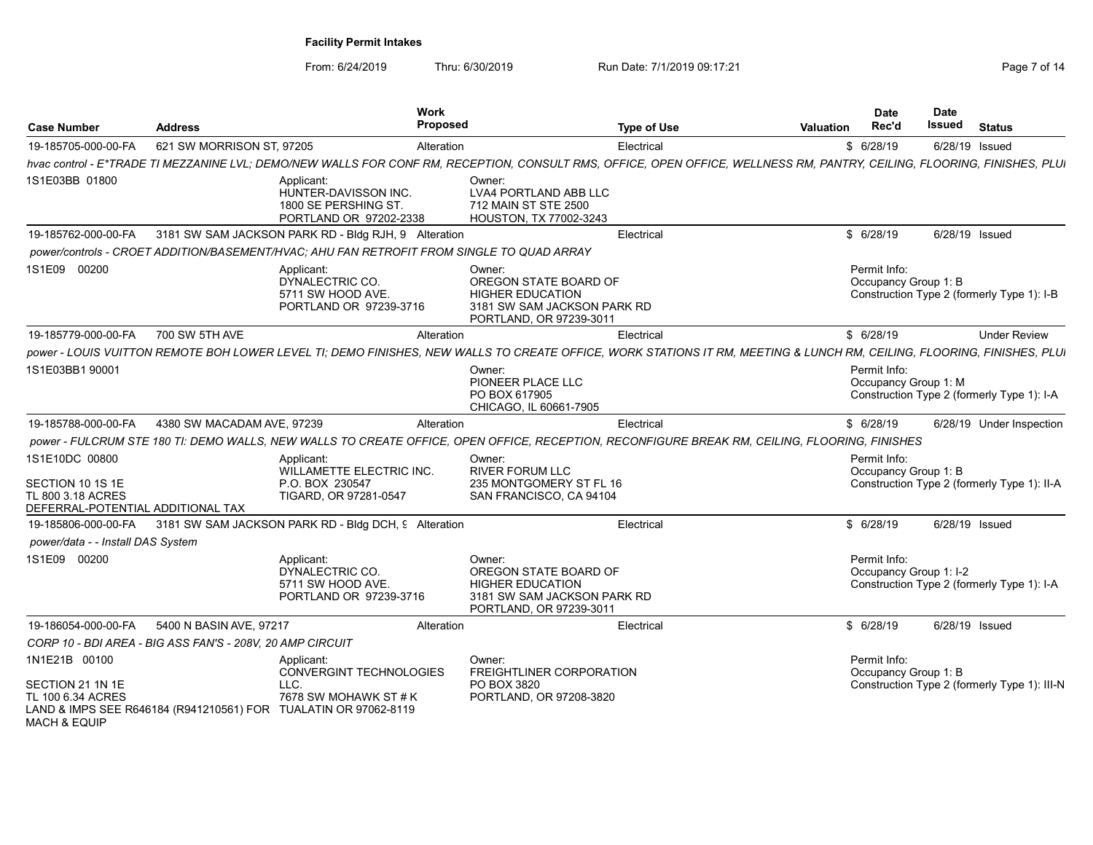| <b>Case Number</b>                                                                           | <b>Address</b>             | <b>Work</b><br>Proposed                                                                                                                                                  |                                                                                                                      | <b>Type of Use</b> | <b>Valuation</b> | <b>Date</b><br>Rec'd                   | <b>Date</b><br>Issued | <b>Status</b>                                |  |
|----------------------------------------------------------------------------------------------|----------------------------|--------------------------------------------------------------------------------------------------------------------------------------------------------------------------|----------------------------------------------------------------------------------------------------------------------|--------------------|------------------|----------------------------------------|-----------------------|----------------------------------------------|--|
| 19-185705-000-00-FA                                                                          | 621 SW MORRISON ST, 97205  | Alteration                                                                                                                                                               |                                                                                                                      | Electrical         |                  | \$6/28/19                              |                       | 6/28/19 Issued                               |  |
|                                                                                              |                            | hvac control - E*TRADE TI MEZZANINE LVL; DEMO/NEW WALLS FOR CONF RM, RECEPTION, CONSULT RMS, OFFICE, OPEN OFFICE, WELLNESS RM, PANTRY, CEILING, FLOORING, FINISHES, PLUI |                                                                                                                      |                    |                  |                                        |                       |                                              |  |
| 1S1E03BB 01800                                                                               |                            | Applicant:<br>HUNTER-DAVISSON INC.<br>1800 SE PERSHING ST.<br>PORTLAND OR 97202-2338                                                                                     | Owner:<br>LVA4 PORTLAND ABB LLC<br>712 MAIN ST STE 2500<br>HOUSTON, TX 77002-3243                                    |                    |                  |                                        |                       |                                              |  |
| 19-185762-000-00-FA                                                                          |                            | 3181 SW SAM JACKSON PARK RD - Bldg RJH, 9 Alteration                                                                                                                     |                                                                                                                      | Electrical         |                  | \$6/28/19                              |                       | 6/28/19 Issued                               |  |
|                                                                                              |                            | power/controls - CROET ADDITION/BASEMENT/HVAC; AHU FAN RETROFIT FROM SINGLE TO QUAD ARRAY                                                                                |                                                                                                                      |                    |                  |                                        |                       |                                              |  |
| 1S1E09 00200                                                                                 |                            | Applicant:<br>DYNALECTRIC CO.<br>5711 SW HOOD AVE.<br>PORTLAND OR 97239-3716                                                                                             | Owner:<br>OREGON STATE BOARD OF<br><b>HIGHER EDUCATION</b><br>3181 SW SAM JACKSON PARK RD<br>PORTLAND, OR 97239-3011 |                    |                  | Permit Info:<br>Occupancy Group 1: B   |                       | Construction Type 2 (formerly Type 1): I-B   |  |
| 19-185779-000-00-FA                                                                          | 700 SW 5TH AVE             | Alteration                                                                                                                                                               |                                                                                                                      | Electrical         |                  | \$6/28/19                              |                       | <b>Under Review</b>                          |  |
|                                                                                              |                            | power - LOUIS VUITTON REMOTE BOH LOWER LEVEL TI; DEMO FINISHES, NEW WALLS TO CREATE OFFICE, WORK STATIONS IT RM, MEETING & LUNCH RM, CEILING, FLOORING, FINISHES, PLUI   |                                                                                                                      |                    |                  |                                        |                       |                                              |  |
| 1S1E03BB1 90001                                                                              |                            |                                                                                                                                                                          | Owner:<br>PIONEER PLACE LLC<br>PO BOX 617905<br>CHICAGO. IL 60661-7905                                               |                    |                  | Permit Info:<br>Occupancy Group 1: M   |                       | Construction Type 2 (formerly Type 1): I-A   |  |
| 19-185788-000-00-FA                                                                          | 4380 SW MACADAM AVE, 97239 | Alteration                                                                                                                                                               |                                                                                                                      | Electrical         |                  | \$6/28/19                              |                       | 6/28/19 Under Inspection                     |  |
|                                                                                              |                            | power - FULCRUM STE 180 TI: DEMO WALLS, NEW WALLS TO CREATE OFFICE, OPEN OFFICE, RECEPTION, RECONFIGURE BREAK RM, CEILING, FLOORING, FINISHES                            |                                                                                                                      |                    |                  |                                        |                       |                                              |  |
| 1S1E10DC 00800<br>SECTION 10 1S 1E<br>TL 800 3.18 ACRES<br>DEFERRAL-POTENTIAL ADDITIONAL TAX |                            | Applicant:<br>WILLAMETTE ELECTRIC INC.<br>P.O. BOX 230547<br>TIGARD, OR 97281-0547                                                                                       | Owner:<br><b>RIVER FORUM LLC</b><br>235 MONTGOMERY ST FL 16<br>SAN FRANCISCO, CA 94104                               |                    |                  | Permit Info:<br>Occupancy Group 1: B   |                       | Construction Type 2 (formerly Type 1): II-A  |  |
| 19-185806-000-00-FA                                                                          |                            | 3181 SW SAM JACKSON PARK RD - Bldg DCH, 9 Alteration                                                                                                                     |                                                                                                                      | Electrical         |                  | \$6/28/19                              |                       | 6/28/19 Issued                               |  |
| power/data - - Install DAS System                                                            |                            |                                                                                                                                                                          |                                                                                                                      |                    |                  |                                        |                       |                                              |  |
| 1S1E09 00200                                                                                 |                            | Applicant:<br>DYNALECTRIC CO.<br>5711 SW HOOD AVE.<br>PORTLAND OR 97239-3716                                                                                             | Owner:<br>OREGON STATE BOARD OF<br><b>HIGHER EDUCATION</b><br>3181 SW SAM JACKSON PARK RD<br>PORTLAND, OR 97239-3011 |                    |                  | Permit Info:<br>Occupancy Group 1: I-2 |                       | Construction Type 2 (formerly Type 1): I-A   |  |
| 19-186054-000-00-FA                                                                          | 5400 N BASIN AVE, 97217    | Alteration                                                                                                                                                               |                                                                                                                      | Electrical         |                  | \$6/28/19                              |                       | 6/28/19 Issued                               |  |
| CORP 10 - BDI AREA - BIG ASS FAN'S - 208V, 20 AMP CIRCUIT                                    |                            |                                                                                                                                                                          |                                                                                                                      |                    |                  |                                        |                       |                                              |  |
| 1N1E21B 00100                                                                                |                            | Applicant:<br>CONVERGINT TECHNOLOGIES                                                                                                                                    | Owner:<br><b>FREIGHTLINER CORPORATION</b>                                                                            |                    |                  | Permit Info:<br>Occupancy Group 1: B   |                       |                                              |  |
| SECTION 21 1N 1E<br>TL 100 6.34 ACRES<br><b>MACH &amp; EQUIP</b>                             |                            | LLC.<br>7678 SW MOHAWK ST # K<br>LAND & IMPS SEE R646184 (R941210561) FOR TUALATIN OR 97062-8119                                                                         | PO BOX 3820<br>PORTLAND, OR 97208-3820                                                                               |                    |                  |                                        |                       | Construction Type 2 (formerly Type 1): III-N |  |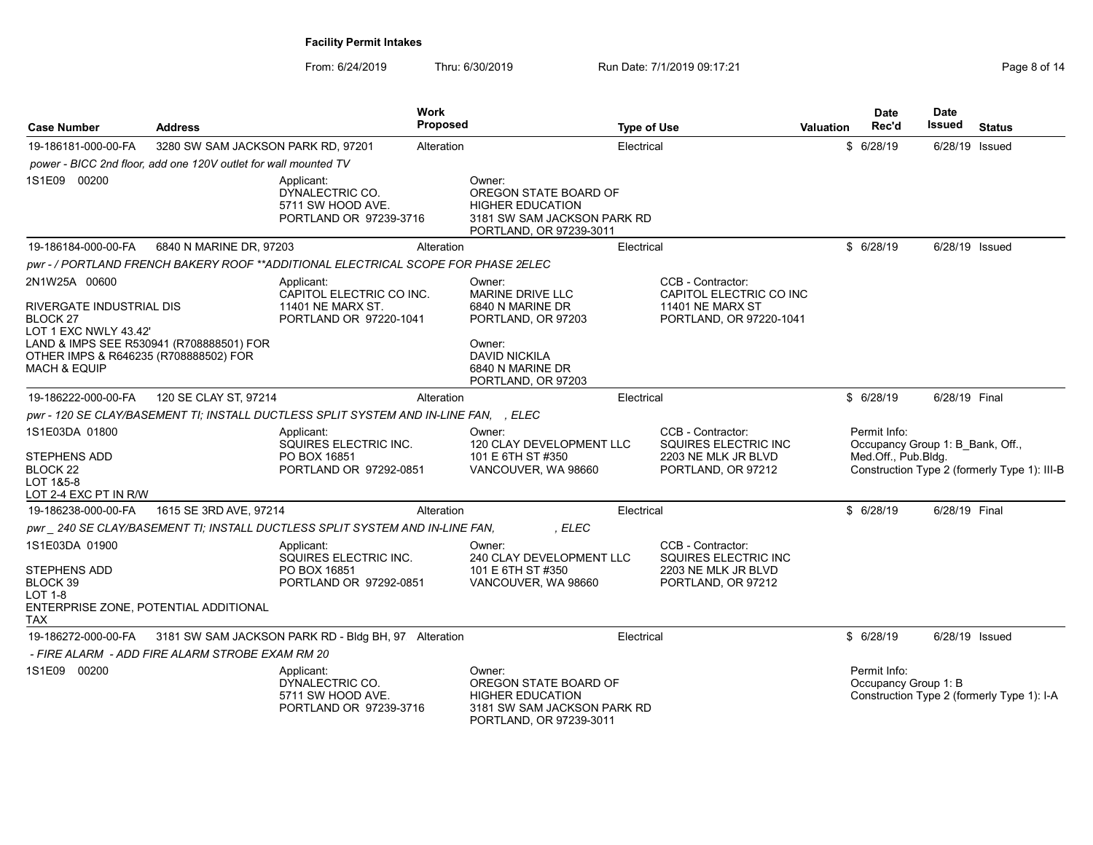| <b>Case Number</b><br><b>Address</b>                             |                                                                 |                                                                                      | Work<br><b>Proposed</b> |                                                                                                                      | <b>Type of Use</b> |                                                                                               | <b>Valuation</b> | <b>Date</b><br>Rec'd                                                    | Date<br>Issued | <b>Status</b>                                |
|------------------------------------------------------------------|-----------------------------------------------------------------|--------------------------------------------------------------------------------------|-------------------------|----------------------------------------------------------------------------------------------------------------------|--------------------|-----------------------------------------------------------------------------------------------|------------------|-------------------------------------------------------------------------|----------------|----------------------------------------------|
| 19-186181-000-00-FA                                              | 3280 SW SAM JACKSON PARK RD, 97201                              |                                                                                      | Alteration              |                                                                                                                      | Electrical         |                                                                                               |                  | \$6/28/19                                                               | 6/28/19 Issued |                                              |
|                                                                  | power - BICC 2nd floor, add one 120V outlet for wall mounted TV |                                                                                      |                         |                                                                                                                      |                    |                                                                                               |                  |                                                                         |                |                                              |
| 1S1E09 00200                                                     |                                                                 | Applicant:<br>DYNALECTRIC CO.<br>5711 SW HOOD AVE.<br>PORTLAND OR 97239-3716         |                         | Owner:<br>OREGON STATE BOARD OF<br><b>HIGHER EDUCATION</b><br>3181 SW SAM JACKSON PARK RD<br>PORTLAND, OR 97239-3011 |                    |                                                                                               |                  |                                                                         |                |                                              |
| 19-186184-000-00-FA                                              | 6840 N MARINE DR, 97203                                         |                                                                                      | Alteration              |                                                                                                                      | Electrical         |                                                                                               |                  | \$6/28/19                                                               | 6/28/19 Issued |                                              |
|                                                                  |                                                                 | pwr - / PORTLAND FRENCH BAKERY ROOF **ADDITIONAL ELECTRICAL SCOPE FOR PHASE 2ELEC    |                         |                                                                                                                      |                    |                                                                                               |                  |                                                                         |                |                                              |
| 2N1W25A 00600                                                    |                                                                 | Applicant:                                                                           |                         | Owner:                                                                                                               |                    | CCB - Contractor:                                                                             |                  |                                                                         |                |                                              |
| RIVERGATE INDUSTRIAL DIS<br>BLOCK 27<br>LOT 1 EXC NWLY 43.42'    | LAND & IMPS SEE R530941 (R708888501) FOR                        | CAPITOL ELECTRIC CO INC.<br>11401 NE MARX ST.<br>PORTLAND OR 97220-1041              |                         | MARINE DRIVE LLC<br>6840 N MARINE DR<br>PORTLAND, OR 97203<br>Owner:                                                 |                    | CAPITOL ELECTRIC CO INC<br><b>11401 NE MARX ST</b><br>PORTLAND, OR 97220-1041                 |                  |                                                                         |                |                                              |
| OTHER IMPS & R646235 (R708888502) FOR<br><b>MACH &amp; EQUIP</b> |                                                                 |                                                                                      |                         | <b>DAVID NICKILA</b><br>6840 N MARINE DR<br>PORTLAND, OR 97203                                                       |                    |                                                                                               |                  |                                                                         |                |                                              |
| 19-186222-000-00-FA                                              | 120 SE CLAY ST, 97214                                           |                                                                                      | Alteration              |                                                                                                                      | Electrical         |                                                                                               |                  | \$6/28/19                                                               | 6/28/19 Final  |                                              |
|                                                                  |                                                                 | pwr - 120 SE CLAY/BASEMENT TI; INSTALL DUCTLESS SPLIT SYSTEM AND IN-LINE FAN, , ELEC |                         |                                                                                                                      |                    |                                                                                               |                  |                                                                         |                |                                              |
| 1S1E03DA 01800<br>STEPHENS ADD<br>BLOCK 22                       |                                                                 | Applicant:<br>SQUIRES ELECTRIC INC.<br>PO BOX 16851<br>PORTLAND OR 97292-0851        |                         | Owner:<br>120 CLAY DEVELOPMENT LLC<br>101 E 6TH ST #350<br>VANCOUVER, WA 98660                                       |                    | CCB - Contractor:<br><b>SQUIRES ELECTRIC INC</b><br>2203 NE MLK JR BLVD<br>PORTLAND, OR 97212 |                  | Permit Info:<br>Occupancy Group 1: B Bank, Off.,<br>Med.Off., Pub.Bldg. |                | Construction Type 2 (formerly Type 1): III-B |
| LOT 1&5-8<br>LOT 2-4 EXC PT IN R/W                               |                                                                 |                                                                                      |                         |                                                                                                                      |                    |                                                                                               |                  |                                                                         |                |                                              |
| 19-186238-000-00-FA                                              | 1615 SE 3RD AVE, 97214                                          |                                                                                      | Alteration              |                                                                                                                      | Electrical         |                                                                                               |                  | \$6/28/19                                                               | 6/28/19 Final  |                                              |
|                                                                  |                                                                 | pwr_240 SE CLAY/BASEMENT TI; INSTALL DUCTLESS SPLIT SYSTEM AND IN-LINE FAN,          |                         | , ELEC                                                                                                               |                    |                                                                                               |                  |                                                                         |                |                                              |
| 1S1E03DA 01900<br>STEPHENS ADD<br>BLOCK 39<br><b>LOT 1-8</b>     |                                                                 | Applicant:<br>SQUIRES ELECTRIC INC.<br>PO BOX 16851<br>PORTLAND OR 97292-0851        |                         | Owner:<br>240 CLAY DEVELOPMENT LLC<br>101 E 6TH ST #350<br>VANCOUVER, WA 98660                                       |                    | CCB - Contractor:<br><b>SQUIRES ELECTRIC INC</b><br>2203 NE MLK JR BLVD<br>PORTLAND, OR 97212 |                  |                                                                         |                |                                              |
| TAX                                                              | ENTERPRISE ZONE, POTENTIAL ADDITIONAL                           |                                                                                      |                         |                                                                                                                      |                    |                                                                                               |                  |                                                                         |                |                                              |
| 19-186272-000-00-FA                                              |                                                                 | 3181 SW SAM JACKSON PARK RD - Bldg BH, 97 Alteration                                 |                         |                                                                                                                      | Electrical         |                                                                                               |                  | \$6/28/19                                                               | 6/28/19 Issued |                                              |
|                                                                  | - FIRE ALARM  - ADD FIRE ALARM STROBE EXAM RM 20                |                                                                                      |                         |                                                                                                                      |                    |                                                                                               |                  |                                                                         |                |                                              |
| 1S1E09 00200                                                     |                                                                 | Applicant:<br>DYNALECTRIC CO.<br>5711 SW HOOD AVE.<br>PORTLAND OR 97239-3716         |                         | Owner:<br>OREGON STATE BOARD OF<br><b>HIGHER EDUCATION</b><br>3181 SW SAM JACKSON PARK RD<br>PORTLAND, OR 97239-3011 |                    |                                                                                               |                  | Permit Info:<br>Occupancy Group 1: B                                    |                | Construction Type 2 (formerly Type 1): I-A   |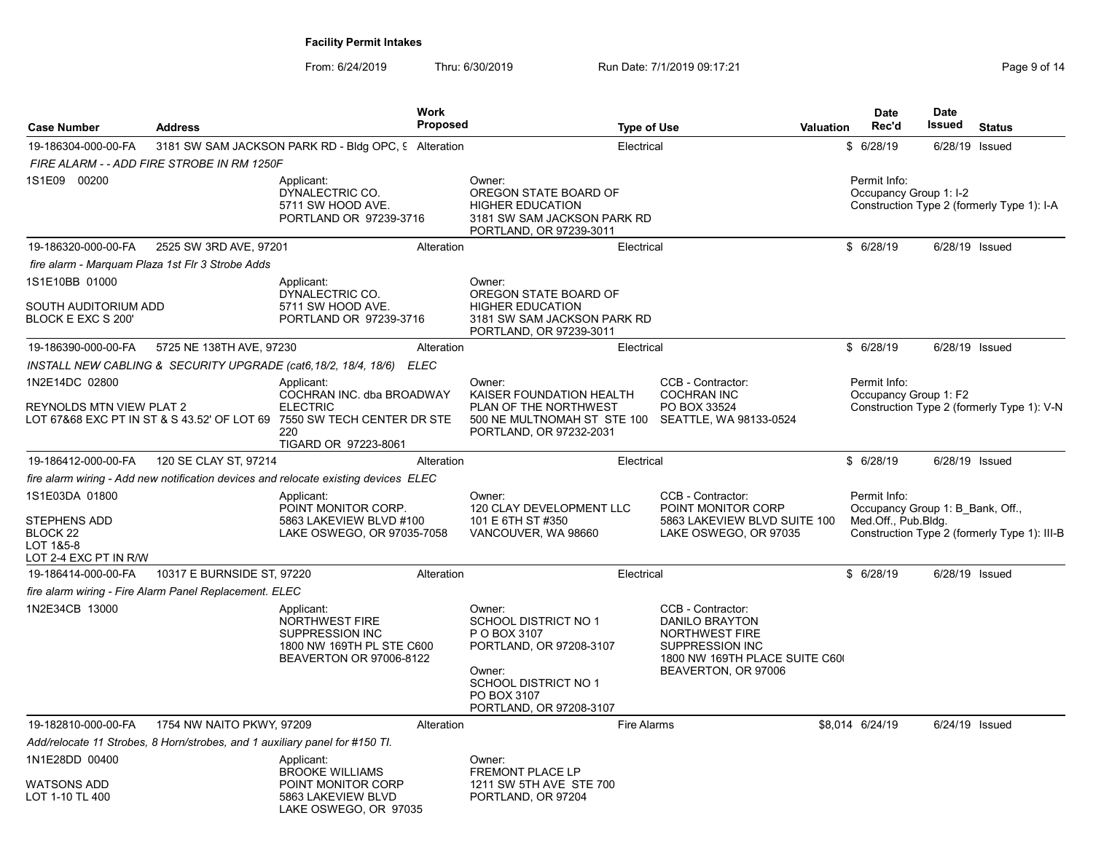| <b>Case Number</b>                                                                                               | <b>Work</b><br><b>Proposed</b><br><b>Address</b><br><b>Type of Use</b>      |                                                                                                                             |            |                                                                                                                                                                     |                                                                                                                                         | <b>Date</b><br>Rec'd                                                    | <b>Date</b><br><b>Issued</b> | <b>Status</b>                                |
|------------------------------------------------------------------------------------------------------------------|-----------------------------------------------------------------------------|-----------------------------------------------------------------------------------------------------------------------------|------------|---------------------------------------------------------------------------------------------------------------------------------------------------------------------|-----------------------------------------------------------------------------------------------------------------------------------------|-------------------------------------------------------------------------|------------------------------|----------------------------------------------|
|                                                                                                                  |                                                                             |                                                                                                                             |            |                                                                                                                                                                     | <b>Valuation</b>                                                                                                                        |                                                                         |                              |                                              |
| 19-186304-000-00-FA                                                                                              | FIRE ALARM - - ADD FIRE STROBE IN RM 1250F                                  | 3181 SW SAM JACKSON PARK RD - Bldg OPC, 9 Alteration                                                                        |            | Electrical                                                                                                                                                          |                                                                                                                                         | \$6/28/19                                                               | 6/28/19 Issued               |                                              |
| 1S1E09 00200                                                                                                     |                                                                             | Applicant:<br>DYNALECTRIC CO.<br>5711 SW HOOD AVE.<br>PORTLAND OR 97239-3716                                                |            | Owner:<br>OREGON STATE BOARD OF<br><b>HIGHER EDUCATION</b><br>3181 SW SAM JACKSON PARK RD<br>PORTLAND, OR 97239-3011                                                |                                                                                                                                         | Permit Info:<br>Occupancy Group 1: I-2                                  |                              | Construction Type 2 (formerly Type 1): I-A   |
| 19-186320-000-00-FA                                                                                              | 2525 SW 3RD AVE, 97201                                                      |                                                                                                                             | Alteration | Electrical                                                                                                                                                          |                                                                                                                                         | \$6/28/19                                                               | 6/28/19 Issued               |                                              |
| fire alarm - Marquam Plaza 1st Flr 3 Strobe Adds<br>1S1E10BB 01000<br>SOUTH AUDITORIUM ADD<br>BLOCK E EXC S 200' |                                                                             | Applicant:<br>DYNALECTRIC CO.<br>5711 SW HOOD AVE.<br>PORTLAND OR 97239-3716                                                |            | Owner:<br>OREGON STATE BOARD OF<br><b>HIGHER EDUCATION</b><br>3181 SW SAM JACKSON PARK RD                                                                           |                                                                                                                                         |                                                                         |                              |                                              |
| 19-186390-000-00-FA                                                                                              | 5725 NE 138TH AVE, 97230                                                    |                                                                                                                             | Alteration | PORTLAND, OR 97239-3011<br>Electrical                                                                                                                               |                                                                                                                                         | \$6/28/19                                                               | 6/28/19 Issued               |                                              |
| 1N2E14DC 02800                                                                                                   |                                                                             | INSTALL NEW CABLING & SECURITY UPGRADE (cat6,18/2, 18/4, 18/6)<br>Applicant:<br>COCHRAN INC. dba BROADWAY                   | ELEC       | Owner:<br>KAISER FOUNDATION HEALTH                                                                                                                                  | CCB - Contractor:<br><b>COCHRAN INC</b>                                                                                                 | Permit Info:<br>Occupancy Group 1: F2                                   |                              |                                              |
| REYNOLDS MTN VIEW PLAT 2                                                                                         |                                                                             | <b>ELECTRIC</b><br>LOT 67&68 EXC PT IN ST & S 43.52' OF LOT 69    7550 SW TECH CENTER DR STE<br>220<br>TIGARD OR 97223-8061 |            | PLAN OF THE NORTHWEST<br>500 NE MULTNOMAH ST STE 100<br>PORTLAND, OR 97232-2031                                                                                     | PO BOX 33524<br>SEATTLE, WA 98133-0524                                                                                                  |                                                                         |                              | Construction Type 2 (formerly Type 1): V-N   |
| 19-186412-000-00-FA                                                                                              | 120 SE CLAY ST, 97214                                                       |                                                                                                                             | Alteration | Electrical                                                                                                                                                          |                                                                                                                                         | \$6/28/19                                                               | 6/28/19 Issued               |                                              |
|                                                                                                                  |                                                                             | fire alarm wiring - Add new notification devices and relocate existing devices ELEC                                         |            |                                                                                                                                                                     |                                                                                                                                         |                                                                         |                              |                                              |
| 1S1E03DA 01800<br><b>STEPHENS ADD</b><br>BLOCK 22<br>LOT 1&5-8<br>LOT 2-4 EXC PT IN R/W                          |                                                                             | Applicant:<br>POINT MONITOR CORP.<br>5863 LAKEVIEW BLVD #100<br>LAKE OSWEGO, OR 97035-7058                                  |            | Owner:<br>120 CLAY DEVELOPMENT LLC<br>101 E 6TH ST #350<br>VANCOUVER, WA 98660                                                                                      | CCB - Contractor:<br>POINT MONITOR CORP<br>5863 LAKEVIEW BLVD SUITE 100<br>LAKE OSWEGO, OR 97035                                        | Permit Info:<br>Occupancy Group 1: B Bank, Off.,<br>Med.Off., Pub.Bldg. |                              | Construction Type 2 (formerly Type 1): III-B |
| 19-186414-000-00-FA                                                                                              | 10317 E BURNSIDE ST, 97220                                                  |                                                                                                                             | Alteration | Electrical                                                                                                                                                          |                                                                                                                                         | \$6/28/19                                                               | 6/28/19 Issued               |                                              |
|                                                                                                                  | fire alarm wiring - Fire Alarm Panel Replacement. ELEC                      |                                                                                                                             |            |                                                                                                                                                                     |                                                                                                                                         |                                                                         |                              |                                              |
| 1N2E34CB 13000                                                                                                   |                                                                             | Applicant:<br>NORTHWEST FIRE<br>SUPPRESSION INC<br>1800 NW 169TH PL STE C600<br><b>BEAVERTON OR 97006-8122</b>              |            | Owner:<br><b>SCHOOL DISTRICT NO 1</b><br>P O BOX 3107<br>PORTLAND, OR 97208-3107<br>Owner:<br><b>SCHOOL DISTRICT NO 1</b><br>PO BOX 3107<br>PORTLAND, OR 97208-3107 | CCB - Contractor:<br>DANILO BRAYTON<br><b>NORTHWEST FIRE</b><br>SUPPRESSION INC<br>1800 NW 169TH PLACE SUITE C60<br>BEAVERTON, OR 97006 |                                                                         |                              |                                              |
| 19-182810-000-00-FA                                                                                              | 1754 NW NAITO PKWY, 97209                                                   |                                                                                                                             | Alteration | <b>Fire Alarms</b>                                                                                                                                                  |                                                                                                                                         | \$8,014 6/24/19                                                         | 6/24/19 Issued               |                                              |
|                                                                                                                  | Add/relocate 11 Strobes, 8 Horn/strobes, and 1 auxiliary panel for #150 TI. |                                                                                                                             |            |                                                                                                                                                                     |                                                                                                                                         |                                                                         |                              |                                              |
| 1N1E28DD 00400<br>WATSONS ADD<br>LOT 1-10 TL 400                                                                 |                                                                             | Applicant:<br><b>BROOKE WILLIAMS</b><br>POINT MONITOR CORP<br>5863 LAKEVIEW BLVD                                            |            | Owner:<br>FREMONT PLACE LP<br>1211 SW 5TH AVE STE 700<br>PORTLAND, OR 97204                                                                                         |                                                                                                                                         |                                                                         |                              |                                              |
|                                                                                                                  |                                                                             | LAKE OSWEGO, OR 97035                                                                                                       |            |                                                                                                                                                                     |                                                                                                                                         |                                                                         |                              |                                              |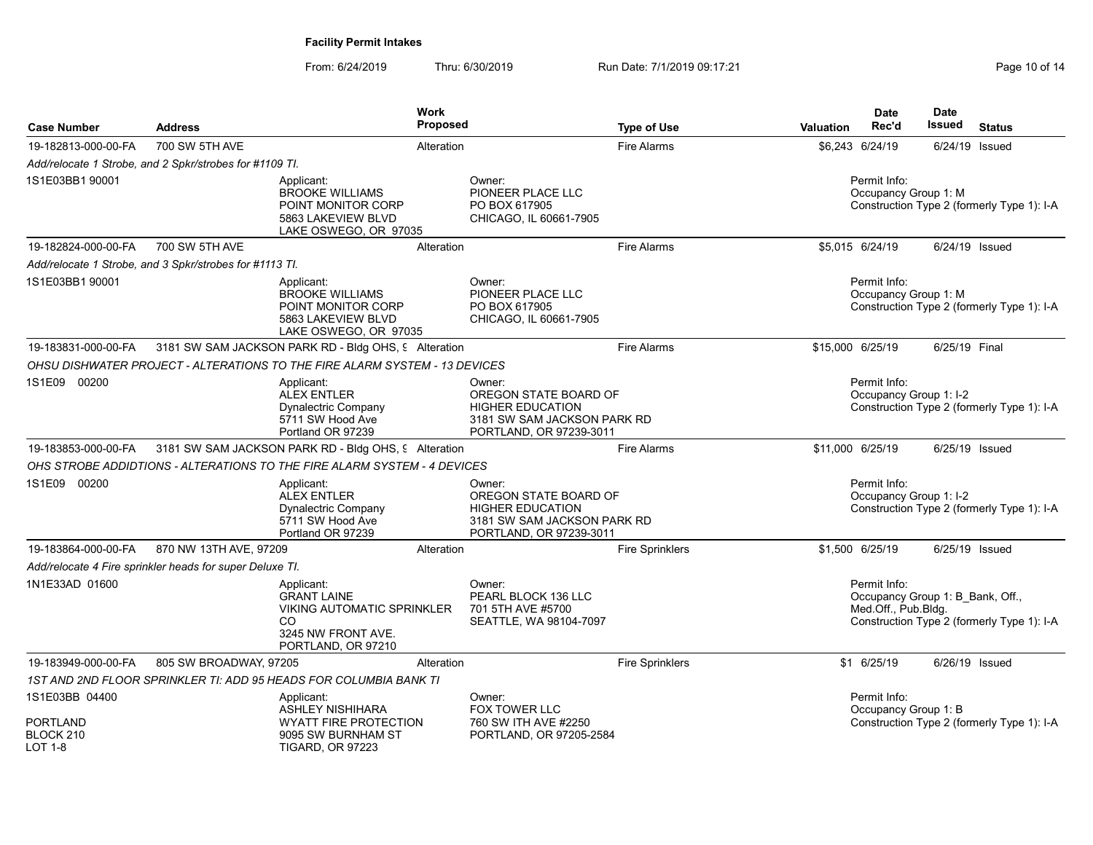| <b>Case Number</b>                | <b>Address</b>                                           |                                                                                                                          | Work<br><b>Proposed</b> |                                                                                                                      | <b>Type of Use</b>     | <b>Valuation</b> | <b>Date</b><br>Rec'd                   | <b>Date</b><br><b>Issued</b>     | <b>Status</b>                              |
|-----------------------------------|----------------------------------------------------------|--------------------------------------------------------------------------------------------------------------------------|-------------------------|----------------------------------------------------------------------------------------------------------------------|------------------------|------------------|----------------------------------------|----------------------------------|--------------------------------------------|
| 19-182813-000-00-FA               | 700 SW 5TH AVE                                           |                                                                                                                          | Alteration              |                                                                                                                      | Fire Alarms            |                  | \$6.243 6/24/19                        | 6/24/19 Issued                   |                                            |
|                                   | Add/relocate 1 Strobe, and 2 Spkr/strobes for #1109 TI.  |                                                                                                                          |                         |                                                                                                                      |                        |                  |                                        |                                  |                                            |
| 1S1E03BB1 90001                   |                                                          | Applicant:<br><b>BROOKE WILLIAMS</b><br>POINT MONITOR CORP<br>5863 LAKEVIEW BLVD<br>LAKE OSWEGO, OR 97035                |                         | Owner:<br>PIONEER PLACE LLC<br>PO BOX 617905<br>CHICAGO, IL 60661-7905                                               |                        |                  | Permit Info:<br>Occupancy Group 1: M   |                                  | Construction Type 2 (formerly Type 1): I-A |
| 19-182824-000-00-FA               | 700 SW 5TH AVE                                           |                                                                                                                          | Alteration              |                                                                                                                      | <b>Fire Alarms</b>     |                  | \$5,015 6/24/19                        | 6/24/19 Issued                   |                                            |
|                                   | Add/relocate 1 Strobe, and 3 Spkr/strobes for #1113 TI.  |                                                                                                                          |                         |                                                                                                                      |                        |                  |                                        |                                  |                                            |
| 1S1E03BB1 90001                   |                                                          | Applicant:<br>BROOKE WILLIAMS<br>POINT MONITOR CORP<br>5863 LAKEVIEW BLVD<br>LAKE OSWEGO, OR 97035                       |                         | Owner:<br>PIONEER PLACE LLC<br>PO BOX 617905<br>CHICAGO, IL 60661-7905                                               |                        |                  | Permit Info:<br>Occupancy Group 1: M   |                                  | Construction Type 2 (formerly Type 1): I-A |
| 19-183831-000-00-FA               |                                                          | 3181 SW SAM JACKSON PARK RD - Bldg OHS, 9 Alteration                                                                     |                         |                                                                                                                      | <b>Fire Alarms</b>     |                  | \$15,000 6/25/19                       | 6/25/19 Final                    |                                            |
|                                   |                                                          | OHSU DISHWATER PROJECT - ALTERATIONS TO THE FIRE ALARM SYSTEM - 13 DEVICES                                               |                         |                                                                                                                      |                        |                  |                                        |                                  |                                            |
| 1S1E09 00200                      |                                                          | Applicant:<br><b>ALEX ENTLER</b><br><b>Dynalectric Company</b><br>5711 SW Hood Ave<br>Portland OR 97239                  |                         | Owner:<br>OREGON STATE BOARD OF<br><b>HIGHER EDUCATION</b><br>3181 SW SAM JACKSON PARK RD<br>PORTLAND, OR 97239-3011 |                        |                  | Permit Info:<br>Occupancy Group 1: I-2 |                                  | Construction Type 2 (formerly Type 1): I-A |
| 19-183853-000-00-FA               |                                                          | 3181 SW SAM JACKSON PARK RD - Bldg OHS, 9 Alteration                                                                     |                         |                                                                                                                      | <b>Fire Alarms</b>     |                  | \$11,000 6/25/19                       | 6/25/19 Issued                   |                                            |
|                                   |                                                          | OHS STROBE ADDIDTIONS - ALTERATIONS TO THE FIRE ALARM SYSTEM - 4 DEVICES                                                 |                         |                                                                                                                      |                        |                  |                                        |                                  |                                            |
| 1S1E09 00200                      |                                                          | Applicant:<br><b>ALEX ENTLER</b><br>Dynalectric Company<br>5711 SW Hood Ave<br>Portland OR 97239                         |                         | Owner:<br>OREGON STATE BOARD OF<br><b>HIGHER EDUCATION</b><br>3181 SW SAM JACKSON PARK RD<br>PORTLAND, OR 97239-3011 |                        |                  | Permit Info:<br>Occupancy Group 1: I-2 |                                  | Construction Type 2 (formerly Type 1): I-A |
| 19-183864-000-00-FA               | 870 NW 13TH AVE, 97209                                   |                                                                                                                          | Alteration              |                                                                                                                      | <b>Fire Sprinklers</b> |                  | \$1,500 6/25/19                        | 6/25/19 Issued                   |                                            |
|                                   | Add/relocate 4 Fire sprinkler heads for super Deluxe TI. |                                                                                                                          |                         |                                                                                                                      |                        |                  |                                        |                                  |                                            |
| 1N1E33AD 01600                    |                                                          | Applicant:<br><b>GRANT LAINE</b><br><b>VIKING AUTOMATIC SPRINKLER</b><br>CO.<br>3245 NW FRONT AVE.<br>PORTLAND, OR 97210 |                         | Owner:<br>PEARL BLOCK 136 LLC<br>701 5TH AVE #5700<br>SEATTLE, WA 98104-7097                                         |                        |                  | Permit Info:<br>Med.Off., Pub.Bldg.    | Occupancy Group 1: B Bank, Off., | Construction Type 2 (formerly Type 1): I-A |
| 19-183949-000-00-FA               | 805 SW BROADWAY, 97205                                   |                                                                                                                          | Alteration              |                                                                                                                      | <b>Fire Sprinklers</b> |                  | \$1 6/25/19                            | 6/26/19 Issued                   |                                            |
|                                   |                                                          | 1ST AND 2ND FLOOR SPRINKLER TI: ADD 95 HEADS FOR COLUMBIA BANK TI                                                        |                         |                                                                                                                      |                        |                  |                                        |                                  |                                            |
| 1S1E03BB 04400<br><b>PORTLAND</b> |                                                          | Applicant:<br><b>ASHLEY NISHIHARA</b><br>WYATT FIRE PROTECTION                                                           |                         | Owner:<br>FOX TOWER LLC<br>760 SW ITH AVE #2250                                                                      |                        |                  | Permit Info:<br>Occupancy Group 1: B   |                                  | Construction Type 2 (formerly Type 1): I-A |
| BLOCK 210<br><b>LOT 1-8</b>       |                                                          | 9095 SW BURNHAM ST<br><b>TIGARD, OR 97223</b>                                                                            |                         | PORTLAND, OR 97205-2584                                                                                              |                        |                  |                                        |                                  |                                            |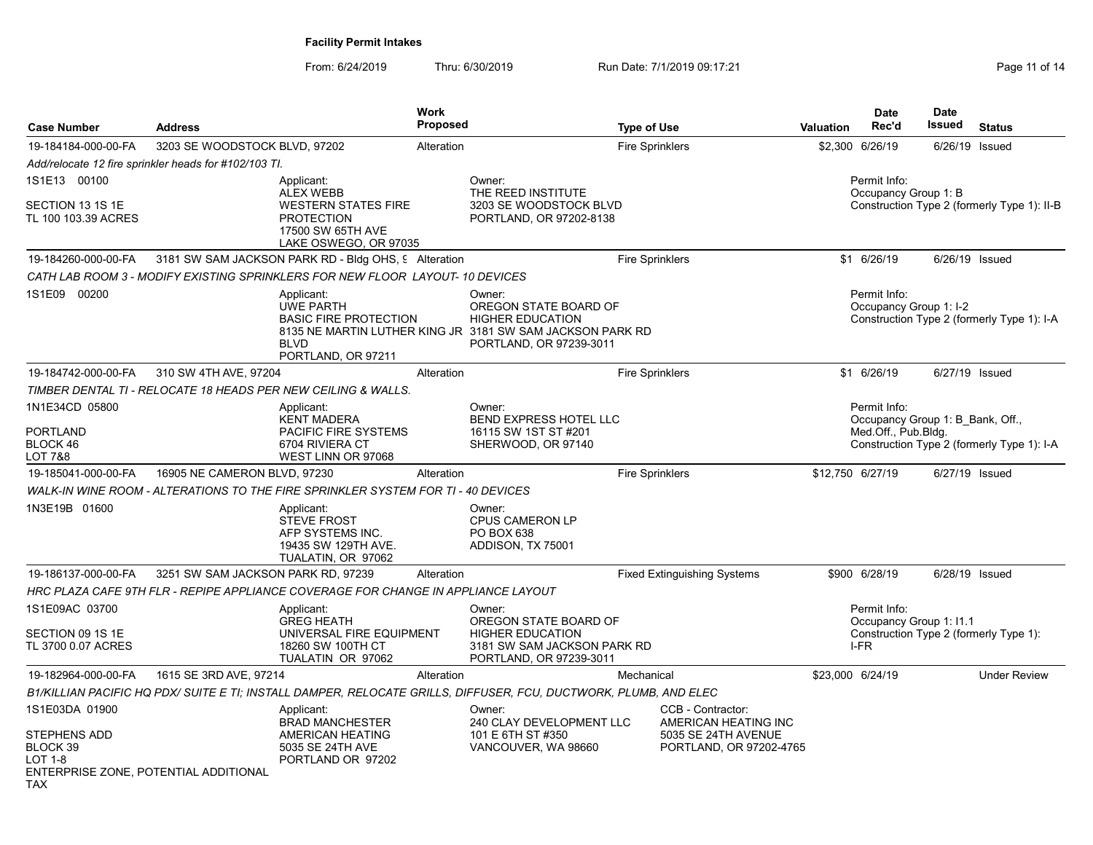| <b>Case Number</b>                                       | <b>Address</b>                                        |                                                                                                       | <b>Work</b><br>Proposed |                                                                                                                                                    | <b>Type of Use</b>     |                                                                        | Valuation        | <b>Date</b><br>Rec'd                             | <b>Date</b><br>Issued | <b>Status</b>                               |
|----------------------------------------------------------|-------------------------------------------------------|-------------------------------------------------------------------------------------------------------|-------------------------|----------------------------------------------------------------------------------------------------------------------------------------------------|------------------------|------------------------------------------------------------------------|------------------|--------------------------------------------------|-----------------------|---------------------------------------------|
| 19-184184-000-00-FA                                      | 3203 SE WOODSTOCK BLVD, 97202                         |                                                                                                       | Alteration              |                                                                                                                                                    | <b>Fire Sprinklers</b> |                                                                        |                  | \$2,300 6/26/19                                  | 6/26/19               | Issued                                      |
|                                                          | Add/relocate 12 fire sprinkler heads for #102/103 TI. |                                                                                                       |                         |                                                                                                                                                    |                        |                                                                        |                  |                                                  |                       |                                             |
| 1S1E13 00100                                             |                                                       | Applicant:<br><b>ALEX WEBB</b>                                                                        |                         | Owner:<br>THE REED INSTITUTE                                                                                                                       |                        |                                                                        |                  | Permit Info:<br>Occupancy Group 1: B             |                       |                                             |
| SECTION 13 1S 1E<br>TL 100 103.39 ACRES                  |                                                       | <b>WESTERN STATES FIRE</b><br><b>PROTECTION</b><br>17500 SW 65TH AVE<br>LAKE OSWEGO, OR 97035         |                         | 3203 SE WOODSTOCK BLVD<br>PORTLAND, OR 97202-8138                                                                                                  |                        |                                                                        |                  |                                                  |                       | Construction Type 2 (formerly Type 1): II-B |
| 19-184260-000-00-FA                                      |                                                       | 3181 SW SAM JACKSON PARK RD - Bldg OHS, 9 Alteration                                                  |                         |                                                                                                                                                    | <b>Fire Sprinklers</b> |                                                                        |                  | \$1 6/26/19                                      |                       | 6/26/19 Issued                              |
|                                                          |                                                       | CATH LAB ROOM 3 - MODIFY EXISTING SPRINKLERS FOR NEW FLOOR LAYOUT- 10 DEVICES                         |                         |                                                                                                                                                    |                        |                                                                        |                  |                                                  |                       |                                             |
| 1S1E09 00200                                             |                                                       | Applicant:<br><b>UWE PARTH</b><br><b>BASIC FIRE PROTECTION</b><br><b>BLVD</b><br>PORTLAND, OR 97211   |                         | Owner:<br>OREGON STATE BOARD OF<br><b>HIGHER EDUCATION</b><br>8135 NE MARTIN LUTHER KING JR 3181 SW SAM JACKSON PARK RD<br>PORTLAND, OR 97239-3011 |                        |                                                                        |                  | Permit Info:<br>Occupancy Group 1: I-2           |                       | Construction Type 2 (formerly Type 1): I-A  |
| 19-184742-000-00-FA                                      | 310 SW 4TH AVE, 97204                                 |                                                                                                       | Alteration              |                                                                                                                                                    | Fire Sprinklers        |                                                                        |                  | \$1 6/26/19                                      |                       | 6/27/19 Issued                              |
|                                                          |                                                       | TIMBER DENTAL TI - RELOCATE 18 HEADS PER NEW CEILING & WALLS.                                         |                         |                                                                                                                                                    |                        |                                                                        |                  |                                                  |                       |                                             |
| 1N1E34CD 05800                                           |                                                       | Applicant:<br><b>KENT MADERA</b>                                                                      |                         | Owner:<br>BEND EXPRESS HOTEL LLC                                                                                                                   |                        |                                                                        |                  | Permit Info:<br>Occupancy Group 1: B Bank, Off., |                       |                                             |
| PORTLAND<br>BLOCK 46<br>LOT 7&8                          |                                                       | PACIFIC FIRE SYSTEMS<br>6704 RIVIERA CT<br>WEST LINN OR 97068                                         |                         | 16115 SW 1ST ST #201<br>SHERWOOD, OR 97140                                                                                                         |                        |                                                                        |                  | Med Off., Pub Bldg.                              |                       | Construction Type 2 (formerly Type 1): I-A  |
| 19-185041-000-00-FA                                      | 16905 NE CAMERON BLVD, 97230                          |                                                                                                       | Alteration              |                                                                                                                                                    | <b>Fire Sprinklers</b> |                                                                        | \$12,750 6/27/19 |                                                  |                       | 6/27/19 Issued                              |
|                                                          |                                                       | WALK-IN WINE ROOM - ALTERATIONS TO THE FIRE SPRINKLER SYSTEM FOR TI - 40 DEVICES                      |                         |                                                                                                                                                    |                        |                                                                        |                  |                                                  |                       |                                             |
| 1N3E19B 01600                                            |                                                       | Applicant:<br><b>STEVE FROST</b><br>AFP SYSTEMS INC.<br>19435 SW 129TH AVE.<br>TUALATIN, OR 97062     |                         | Owner:<br>CPUS CAMERON LP<br>PO BOX 638<br>ADDISON, TX 75001                                                                                       |                        |                                                                        |                  |                                                  |                       |                                             |
| 19-186137-000-00-FA                                      | 3251 SW SAM JACKSON PARK RD, 97239                    |                                                                                                       | Alteration              |                                                                                                                                                    |                        | <b>Fixed Extinguishing Systems</b>                                     |                  | \$900 6/28/19                                    |                       | 6/28/19 Issued                              |
|                                                          |                                                       | HRC PLAZA CAFE 9TH FLR - REPIPE APPLIANCE COVERAGE FOR CHANGE IN APPLIANCE LAYOUT                     |                         |                                                                                                                                                    |                        |                                                                        |                  |                                                  |                       |                                             |
| 1S1E09AC 03700<br>SECTION 09 1S 1E<br>TL 3700 0.07 ACRES |                                                       | Applicant:<br><b>GREG HEATH</b><br>UNIVERSAL FIRE EQUIPMENT<br>18260 SW 100TH CT<br>TUALATIN OR 97062 |                         | Owner:<br>OREGON STATE BOARD OF<br><b>HIGHER EDUCATION</b><br>3181 SW SAM JACKSON PARK RD<br>PORTLAND, OR 97239-3011                               |                        |                                                                        |                  | Permit Info:<br>Occupancy Group 1: 11.1<br>I-FR  |                       | Construction Type 2 (formerly Type 1):      |
| 19-182964-000-00-FA                                      | 1615 SE 3RD AVE, 97214                                |                                                                                                       | Alteration              |                                                                                                                                                    | Mechanical             |                                                                        | \$23,000 6/24/19 |                                                  |                       | <b>Under Review</b>                         |
|                                                          |                                                       |                                                                                                       |                         | B1/KILLIAN PACIFIC HQ PDX/ SUITE E TI; INSTALL DAMPER, RELOCATE GRILLS, DIFFUSER, FCU, DUCTWORK, PLUMB, AND ELEC                                   |                        |                                                                        |                  |                                                  |                       |                                             |
| 1S1E03DA 01900                                           |                                                       | Applicant:                                                                                            |                         | Owner:                                                                                                                                             |                        | CCB - Contractor:                                                      |                  |                                                  |                       |                                             |
| <b>STEPHENS ADD</b><br>BLOCK 39<br>LOT 1-8<br>TAX        | ENTERPRISE ZONE, POTENTIAL ADDITIONAL                 | <b>BRAD MANCHESTER</b><br>AMERICAN HEATING<br>5035 SE 24TH AVE<br>PORTLAND OR 97202                   |                         | 240 CLAY DEVELOPMENT LLC<br>101 E 6TH ST #350<br>VANCOUVER, WA 98660                                                                               |                        | AMERICAN HEATING INC<br>5035 SE 24TH AVENUE<br>PORTLAND, OR 97202-4765 |                  |                                                  |                       |                                             |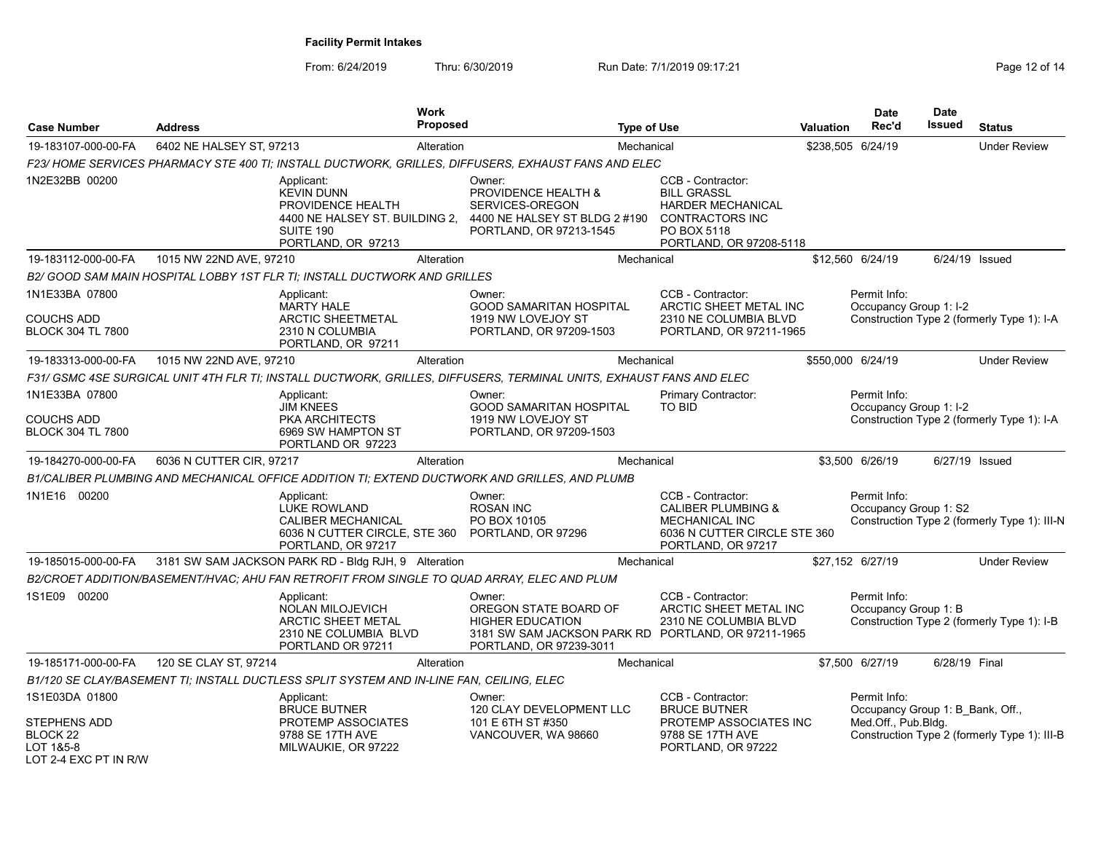| <b>Case Number</b>                                                        | <b>Address</b>                                                                                                            | <b>Work</b><br>Proposed |                                                                                                                                              | <b>Type of Use</b>                                                                                                         | <b>Valuation</b> | <b>Date</b><br>Rec'd                             | <b>Date</b><br>Issued | <b>Status</b>                                |
|---------------------------------------------------------------------------|---------------------------------------------------------------------------------------------------------------------------|-------------------------|----------------------------------------------------------------------------------------------------------------------------------------------|----------------------------------------------------------------------------------------------------------------------------|------------------|--------------------------------------------------|-----------------------|----------------------------------------------|
| 19-183107-000-00-FA                                                       | 6402 NE HALSEY ST, 97213                                                                                                  | Alteration              |                                                                                                                                              | Mechanical                                                                                                                 |                  | \$238.505 6/24/19                                |                       | <b>Under Review</b>                          |
|                                                                           | F23/HOME SERVICES PHARMACY STE 400 TI; INSTALL DUCTWORK, GRILLES, DIFFUSERS, EXHAUST FANS AND ELEC                        |                         |                                                                                                                                              |                                                                                                                            |                  |                                                  |                       |                                              |
| 1N2E32BB 00200                                                            | Applicant:<br><b>KEVIN DUNN</b><br>PROVIDENCE HEALTH<br>4400 NE HALSEY ST. BUILDING 2,<br>SUITE 190<br>PORTLAND, OR 97213 |                         | Owner:<br>PROVIDENCE HEALTH &<br>SERVICES-OREGON<br>4400 NE HALSEY ST BLDG 2 #190<br>PORTLAND, OR 97213-1545                                 | CCB - Contractor:<br><b>BILL GRASSL</b><br>HARDER MECHANICAL<br>CONTRACTORS INC<br>PO BOX 5118<br>PORTLAND, OR 97208-5118  |                  |                                                  |                       |                                              |
| 19-183112-000-00-FA                                                       | 1015 NW 22ND AVE, 97210                                                                                                   | Alteration              |                                                                                                                                              | Mechanical                                                                                                                 |                  | \$12.560 6/24/19                                 |                       | 6/24/19 Issued                               |
|                                                                           | B2/ GOOD SAM MAIN HOSPITAL LOBBY 1ST FLR TI; INSTALL DUCTWORK AND GRILLES                                                 |                         |                                                                                                                                              |                                                                                                                            |                  |                                                  |                       |                                              |
| 1N1E33BA 07800<br><b>COUCHS ADD</b>                                       | Applicant:<br>MARTY HALE<br><b>ARCTIC SHEETMETAL</b>                                                                      |                         | Owner:<br><b>GOOD SAMARITAN HOSPITAL</b><br>1919 NW LOVEJOY ST                                                                               | CCB - Contractor:<br>ARCTIC SHEET METAL INC<br>2310 NE COLUMBIA BLVD                                                       |                  | Permit Info:<br>Occupancy Group 1: I-2           |                       | Construction Type 2 (formerly Type 1): I-A   |
| <b>BLOCK 304 TL 7800</b>                                                  | 2310 N COLUMBIA<br>PORTLAND, OR 97211                                                                                     |                         | PORTLAND, OR 97209-1503                                                                                                                      | PORTLAND, OR 97211-1965                                                                                                    |                  |                                                  |                       |                                              |
| 19-183313-000-00-FA                                                       | 1015 NW 22ND AVE, 97210                                                                                                   | Alteration              |                                                                                                                                              | Mechanical                                                                                                                 |                  | \$550,000 6/24/19                                |                       | <b>Under Review</b>                          |
|                                                                           | F31/ GSMC 4SE SURGICAL UNIT 4TH FLR TI; INSTALL DUCTWORK, GRILLES, DIFFUSERS, TERMINAL UNITS, EXHAUST FANS AND ELEC       |                         |                                                                                                                                              |                                                                                                                            |                  |                                                  |                       |                                              |
| 1N1E33BA 07800                                                            | Applicant:<br><b>JIM KNEES</b>                                                                                            |                         | Owner:<br><b>GOOD SAMARITAN HOSPITAL</b>                                                                                                     | Primary Contractor:<br><b>TO BID</b>                                                                                       |                  | Permit Info:<br>Occupancy Group 1: I-2           |                       |                                              |
| <b>COUCHS ADD</b><br><b>BLOCK 304 TL 7800</b>                             | <b>PKA ARCHITECTS</b><br>6969 SW HAMPTON ST<br>PORTLAND OR 97223                                                          |                         | 1919 NW LOVEJOY ST<br>PORTLAND, OR 97209-1503                                                                                                |                                                                                                                            |                  |                                                  |                       | Construction Type 2 (formerly Type 1): I-A   |
| 19-184270-000-00-FA                                                       | 6036 N CUTTER CIR, 97217                                                                                                  | Alteration              |                                                                                                                                              | Mechanical                                                                                                                 |                  | \$3,500 6/26/19                                  |                       | 6/27/19 Issued                               |
|                                                                           | B1/CALIBER PLUMBING AND MECHANICAL OFFICE ADDITION TI; EXTEND DUCTWORK AND GRILLES, AND PLUMB                             |                         |                                                                                                                                              |                                                                                                                            |                  |                                                  |                       |                                              |
| 1N1E16 00200                                                              | Applicant:<br><b>LUKE ROWLAND</b><br>CALIBER MECHANICAL<br>6036 N CUTTER CIRCLE, STE 360<br>PORTLAND, OR 97217            |                         | Owner:<br><b>ROSAN INC</b><br>PO BOX 10105<br>PORTLAND, OR 97296                                                                             | CCB - Contractor:<br><b>CALIBER PLUMBING &amp;</b><br>MECHANICAL INC<br>6036 N CUTTER CIRCLE STE 360<br>PORTLAND, OR 97217 |                  | Permit Info:<br>Occupancy Group 1: S2            |                       | Construction Type 2 (formerly Type 1): III-N |
| 19-185015-000-00-FA                                                       | 3181 SW SAM JACKSON PARK RD - Bldg RJH, 9 Alteration                                                                      |                         |                                                                                                                                              | Mechanical                                                                                                                 |                  | \$27,152 6/27/19                                 |                       | <b>Under Review</b>                          |
|                                                                           | B2/CROET ADDITION/BASEMENT/HVAC: AHU FAN RETROFIT FROM SINGLE TO QUAD ARRAY, ELEC AND PLUM                                |                         |                                                                                                                                              |                                                                                                                            |                  |                                                  |                       |                                              |
| 1S1E09 00200                                                              | Applicant:<br><b>NOLAN MILOJEVICH</b><br><b>ARCTIC SHEET METAL</b><br>2310 NE COLUMBIA BLVD<br>PORTLAND OR 97211          |                         | Owner:<br>OREGON STATE BOARD OF<br><b>HIGHER EDUCATION</b><br>3181 SW SAM JACKSON PARK RD PORTLAND, OR 97211-1965<br>PORTLAND, OR 97239-3011 | CCB - Contractor:<br>ARCTIC SHEET METAL INC<br>2310 NE COLUMBIA BLVD                                                       |                  | Permit Info:<br>Occupancy Group 1: B             |                       | Construction Type 2 (formerly Type 1): I-B   |
| 19-185171-000-00-FA                                                       | 120 SE CLAY ST, 97214                                                                                                     | Alteration              |                                                                                                                                              | Mechanical                                                                                                                 |                  | \$7,500 6/27/19                                  | 6/28/19 Final         |                                              |
|                                                                           | B1/120 SE CLAY/BASEMENT TI; INSTALL DUCTLESS SPLIT SYSTEM AND IN-LINE FAN, CEILING, ELEC                                  |                         |                                                                                                                                              |                                                                                                                            |                  |                                                  |                       |                                              |
| 1S1E03DA 01800                                                            | Applicant:<br><b>BRUCE BUTNER</b>                                                                                         |                         | Owner:<br>120 CLAY DEVELOPMENT LLC                                                                                                           | CCB - Contractor:<br><b>BRUCE BUTNER</b>                                                                                   |                  | Permit Info:<br>Occupancy Group 1: B Bank, Off., |                       |                                              |
| STEPHENS ADD<br>BLOCK <sub>22</sub><br>LOT 1&5-8<br>LOT 2-4 EXC PT IN R/W | PROTEMP ASSOCIATES<br>9788 SE 17TH AVE<br>MILWAUKIE, OR 97222                                                             |                         | 101 E 6TH ST #350<br>VANCOUVER, WA 98660                                                                                                     | PROTEMP ASSOCIATES INC<br>9788 SE 17TH AVE<br>PORTLAND, OR 97222                                                           |                  | Med.Off., Pub.Bldg.                              |                       | Construction Type 2 (formerly Type 1): III-B |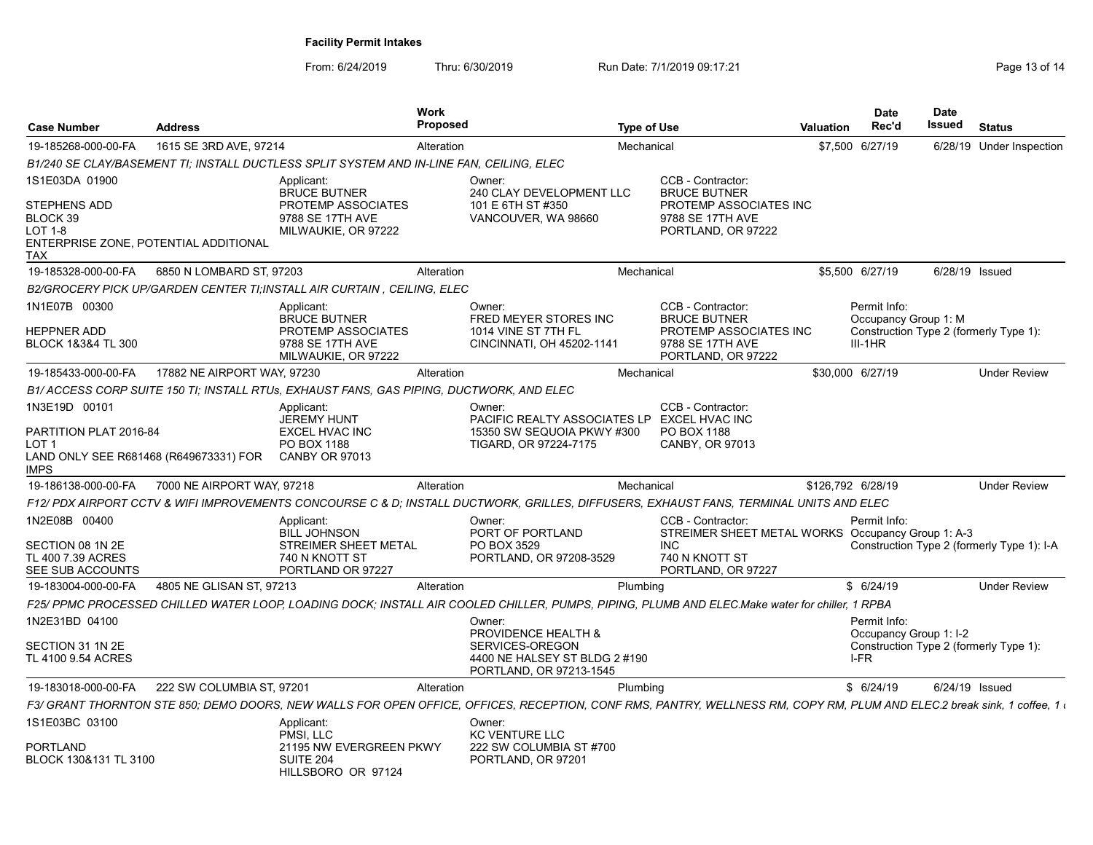| <b>Case Number</b>                                                                                            | <b>Address</b>              |                                                                                                         | <b>Work</b><br>Proposed |                                                                                                                                                                          | Type of Use |                                                                                                                              | <b>Valuation</b> | <b>Date</b><br>Rec'd                                                                        | Date<br><b>Issued</b> | <b>Status</b>                              |
|---------------------------------------------------------------------------------------------------------------|-----------------------------|---------------------------------------------------------------------------------------------------------|-------------------------|--------------------------------------------------------------------------------------------------------------------------------------------------------------------------|-------------|------------------------------------------------------------------------------------------------------------------------------|------------------|---------------------------------------------------------------------------------------------|-----------------------|--------------------------------------------|
| 19-185268-000-00-FA                                                                                           | 1615 SE 3RD AVE, 97214      |                                                                                                         | Alteration              |                                                                                                                                                                          | Mechanical  |                                                                                                                              |                  | \$7,500 6/27/19                                                                             |                       | 6/28/19 Under Inspection                   |
|                                                                                                               |                             | B1/240 SE CLAY/BASEMENT TI; INSTALL DUCTLESS SPLIT SYSTEM AND IN-LINE FAN, CEILING, ELEC                |                         |                                                                                                                                                                          |             |                                                                                                                              |                  |                                                                                             |                       |                                            |
| 1S1E03DA 01900<br><b>STEPHENS ADD</b><br>BLOCK 39<br>LOT 1-8<br>ENTERPRISE ZONE, POTENTIAL ADDITIONAL<br>TAX  |                             | Applicant:<br><b>BRUCE BUTNER</b><br>PROTEMP ASSOCIATES<br>9788 SE 17TH AVE<br>MILWAUKIE, OR 97222      |                         | Owner:<br>240 CLAY DEVELOPMENT LLC<br>101 E 6TH ST #350<br>VANCOUVER, WA 98660                                                                                           |             | CCB - Contractor:<br><b>BRUCE BUTNER</b><br>PROTEMP ASSOCIATES INC<br>9788 SE 17TH AVE<br>PORTLAND, OR 97222                 |                  |                                                                                             |                       |                                            |
| 19-185328-000-00-FA                                                                                           | 6850 N LOMBARD ST, 97203    |                                                                                                         | Alteration              |                                                                                                                                                                          | Mechanical  |                                                                                                                              |                  | \$5,500 6/27/19                                                                             | 6/28/19 Issued        |                                            |
|                                                                                                               |                             | B2/GROCERY PICK UP/GARDEN CENTER TI;INSTALL AIR CURTAIN , CEILING, ELEC                                 |                         |                                                                                                                                                                          |             |                                                                                                                              |                  |                                                                                             |                       |                                            |
| 1N1E07B 00300<br><b>HEPPNER ADD</b><br>BLOCK 1&3&4 TL 300                                                     |                             | Applicant:<br><b>BRUCE BUTNER</b><br>PROTEMP ASSOCIATES<br>9788 SE 17TH AVE<br>MILWAUKIE, OR 97222      |                         | Owner:<br><b>FRED MEYER STORES INC</b><br>1014 VINE ST 7TH FL<br>CINCINNATI, OH 45202-1141                                                                               |             | CCB - Contractor:<br><b>BRUCE BUTNER</b><br>PROTEMP ASSOCIATES INC<br>9788 SE 17TH AVE<br>PORTLAND, OR 97222                 |                  | Permit Info:<br>Occupancy Group 1: M<br>Construction Type 2 (formerly Type 1):<br>$III-1HR$ |                       |                                            |
| 19-185433-000-00-FA                                                                                           | 17882 NE AIRPORT WAY, 97230 |                                                                                                         | Alteration              |                                                                                                                                                                          | Mechanical  |                                                                                                                              |                  | \$30,000 6/27/19                                                                            |                       | <b>Under Review</b>                        |
|                                                                                                               |                             | B1/ ACCESS CORP SUITE 150 TI; INSTALL RTUs, EXHAUST FANS, GAS PIPING, DUCTWORK, AND ELEC                |                         |                                                                                                                                                                          |             |                                                                                                                              |                  |                                                                                             |                       |                                            |
| 1N3E19D 00101<br>PARTITION PLAT 2016-84<br>LOT <sub>1</sub><br>LAND ONLY SEE R681468 (R649673331) FOR<br>IMPS |                             | Applicant:<br><b>JEREMY HUNT</b><br><b>EXCEL HVAC INC</b><br>PO BOX 1188<br><b>CANBY OR 97013</b>       |                         | Owner:<br>PACIFIC REALTY ASSOCIATES LP EXCEL HVAC INC<br>15350 SW SEQUOIA PKWY #300<br>TIGARD, OR 97224-7175                                                             |             | CCB - Contractor:<br>PO BOX 1188<br><b>CANBY, OR 97013</b>                                                                   |                  |                                                                                             |                       |                                            |
| 19-186138-000-00-FA                                                                                           | 7000 NE AIRPORT WAY, 97218  |                                                                                                         | Alteration              |                                                                                                                                                                          | Mechanical  |                                                                                                                              |                  | \$126,792 6/28/19                                                                           |                       | <b>Under Review</b>                        |
|                                                                                                               |                             |                                                                                                         |                         | F12/ PDX AIRPORT CCTV & WIFI IMPROVEMENTS CONCOURSE C & D: INSTALL DUCTWORK. GRILLES. DIFFUSERS. EXHAUST FANS. TERMINAL UNITS AND ELEC                                   |             |                                                                                                                              |                  |                                                                                             |                       |                                            |
| 1N2E08B 00400<br>SECTION 08 1N 2E<br>TL 400 7.39 ACRES<br>SEE SUB ACCOUNTS                                    |                             | Applicant:<br><b>BILL JOHNSON</b><br><b>STREIMER SHEET METAL</b><br>740 N KNOTT ST<br>PORTLAND OR 97227 |                         | Owner:<br>PORT OF PORTLAND<br>PO BOX 3529<br>PORTLAND, OR 97208-3529                                                                                                     |             | CCB - Contractor:<br>STREIMER SHEET METAL WORKS Occupancy Group 1: A-3<br><b>INC</b><br>740 N KNOTT ST<br>PORTLAND, OR 97227 |                  | Permit Info:                                                                                |                       | Construction Type 2 (formerly Type 1): I-A |
| 19-183004-000-00-FA                                                                                           | 4805 NE GLISAN ST, 97213    |                                                                                                         | Alteration              |                                                                                                                                                                          | Plumbing    |                                                                                                                              |                  | \$6/24/19                                                                                   |                       | <b>Under Review</b>                        |
|                                                                                                               |                             |                                                                                                         |                         | F25/ PPMC PROCESSED CHILLED WATER LOOP, LOADING DOCK; INSTALL AIR COOLED CHILLER, PUMPS, PIPING, PLUMB AND ELEC.Make water for chiller, 1 RPBA                           |             |                                                                                                                              |                  |                                                                                             |                       |                                            |
| 1N2E31BD 04100<br>SECTION 31 1N 2E<br>TL 4100 9.54 ACRES                                                      |                             |                                                                                                         |                         | Owner:<br>PROVIDENCE HEALTH &<br>SERVICES-OREGON<br>4400 NE HALSEY ST BLDG 2 #190<br>PORTLAND, OR 97213-1545                                                             |             |                                                                                                                              |                  | Permit Info:<br>Occupancy Group 1: I-2<br>Construction Type 2 (formerly Type 1):<br>I-FR    |                       |                                            |
| 19-183018-000-00-FA                                                                                           | 222 SW COLUMBIA ST. 97201   |                                                                                                         | Alteration              |                                                                                                                                                                          | Plumbing    |                                                                                                                              |                  | \$6/24/19                                                                                   | 6/24/19 Issued        |                                            |
|                                                                                                               |                             |                                                                                                         |                         | F3/ GRANT THORNTON STE 850; DEMO DOORS, NEW WALLS FOR OPEN OFFICE, OFFICES, RECEPTION, CONF RMS, PANTRY, WELLNESS RM, COPY RM, PLUM AND ELEC.2 break sink, 1 coffee, 1 ( |             |                                                                                                                              |                  |                                                                                             |                       |                                            |
| 1S1E03BC 03100<br>PORTLAND<br>BLOCK 130&131 TL 3100                                                           |                             | Applicant:<br>PMSI. LLC<br>21195 NW EVERGREEN PKWY<br>SUITE 204<br>HILLSBORO OR 97124                   |                         | Owner:<br><b>KC VENTURE LLC</b><br>222 SW COLUMBIA ST #700<br>PORTLAND, OR 97201                                                                                         |             |                                                                                                                              |                  |                                                                                             |                       |                                            |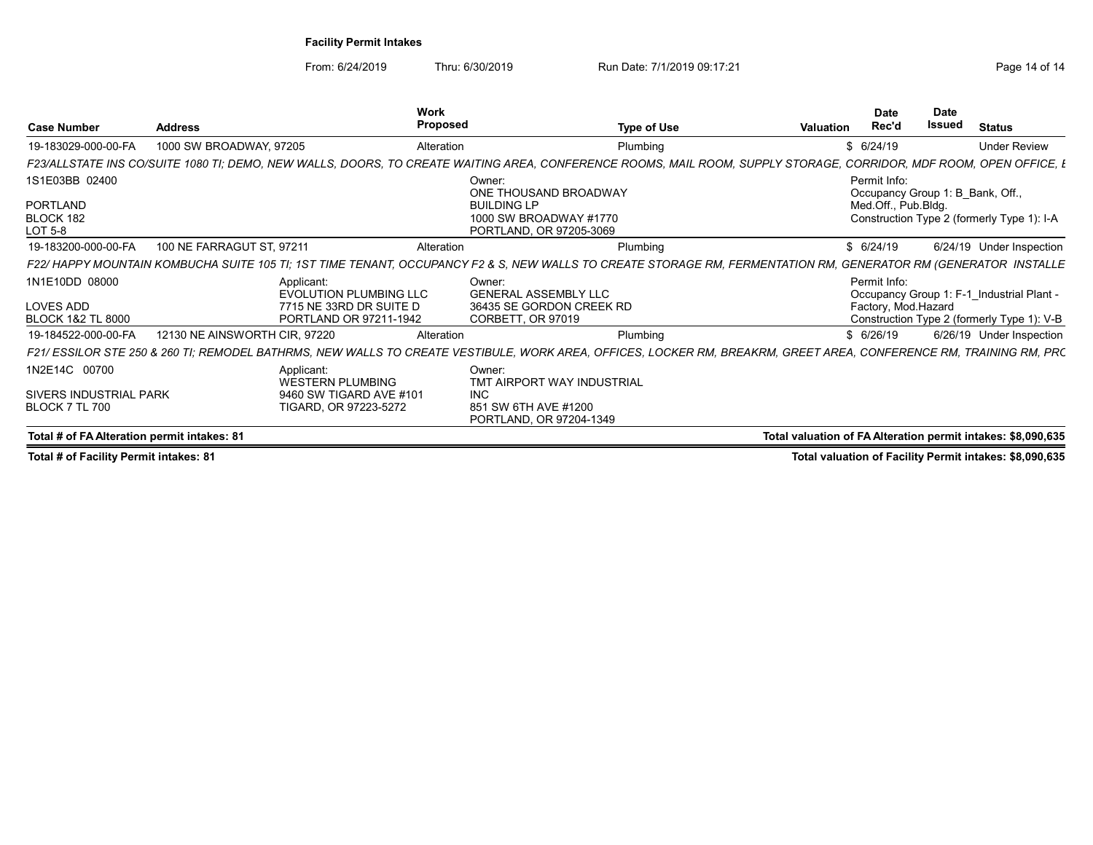From: 6/24/2019 Thru: 6/30/2019 Run Date: 7/1/2019 09:17:21 The State of 14

| <b>Case Number</b>                          | <b>Address</b>                                                                                                                                                  | Work<br>Proposed    | <b>Type of Use</b>                                                                             | Valuation                                                    | <b>Date</b><br>Rec'd | <b>Date</b><br><b>Issued</b> | <b>Status</b>                                                                  |
|---------------------------------------------|-----------------------------------------------------------------------------------------------------------------------------------------------------------------|---------------------|------------------------------------------------------------------------------------------------|--------------------------------------------------------------|----------------------|------------------------------|--------------------------------------------------------------------------------|
| 19-183029-000-00-FA                         | 1000 SW BROADWAY, 97205                                                                                                                                         | Alteration          | Plumbing                                                                                       |                                                              | \$ 6/24/19           |                              | <b>Under Review</b>                                                            |
| <b>F23/ALLSTATE INS CO/SUITI</b>            | <i>'E 1080 TI: DEMO. NEW WALLS. DOORS. TO CREATE</i> I                                                                                                          | <b>WAITING ARFA</b> | ENCE ROOMS MAII                                                                                |                                                              |                      |                              | CORRIDOR, MDF ROOM, OPEN OFFICE, E                                             |
| 1S1E03BB 02400                              |                                                                                                                                                                 | Owner:              |                                                                                                |                                                              | Permit Info:         |                              |                                                                                |
| PORTLAND<br>BLOCK 182<br>LOT 5-8            |                                                                                                                                                                 | <b>BUILDING LP</b>  | ONE THOUSAND BROADWAY<br>1000 SW BROADWAY #1770<br>PORTLAND, OR 97205-3069                     |                                                              | Med.Off., Pub.Bldg.  |                              | Occupancy Group 1: B_Bank, Off.,<br>Construction Type 2 (formerly Type 1): I-A |
| 19-183200-000-00-FA                         | 100 NE FARRAGUT ST, 97211                                                                                                                                       | Alteration          | Plumbino                                                                                       |                                                              | \$ 6/24/19           |                              | 6/24/19 Under Inspection                                                       |
|                                             | F22/ HAPPY MOUNTAIN KOMBUCHA SUITE 105 TI; 1ST TIME TENANT, OCCUPANCY F2 & S, NEW WALLS TO CREATE STORAGE RM, FERMENTATION RM, GENERATOR RM (GENERATOR INSTALLE |                     |                                                                                                |                                                              |                      |                              |                                                                                |
| 1N1E10DD 08000                              | Applicant:<br>EVOLUTION PLUMBING LLC                                                                                                                            | Owner:              | <b>GENERAL ASSEMBLY LLC</b>                                                                    |                                                              | Permit Info:         |                              | Occupancy Group 1: F-1_Industrial Plant -                                      |
| LOVES ADD<br><b>BLOCK 1&amp;2 TL 8000</b>   | 7715 NE 33RD DR SUITE D<br>PORTLAND OR 97211-1942                                                                                                               | CORBETT, OR 97019   | 36435 SE GORDON CREEK RD                                                                       |                                                              | Factory, Mod.Hazard  |                              | Construction Type 2 (formerly Type 1): V-B                                     |
| 19-184522-000-00-FA                         | 12130 NE AINSWORTH CIR, 97220                                                                                                                                   | Alteration          | Plumbing                                                                                       |                                                              | \$ 6/26/19           |                              | 6/26/19 Under Inspection                                                       |
| F21/ESSILOR STE 250 & 260 TI; REMODEL I     | <b>BATHRMS</b><br>NFW WALLS TO CREATE                                                                                                                           |                     | VESTIBULE, WORK AREA, OFFICES, LOCKER RM, BREAKRM, GREET AREA, CONFERENCE RM, TRAINING RM, PRC |                                                              |                      |                              |                                                                                |
| 1N2E14C 00700                               | Applicant:<br><b>WESTERN PLUMBING</b>                                                                                                                           | Owner:              | TMT AIRPORT WAY INDUSTRIAL                                                                     |                                                              |                      |                              |                                                                                |
| SIVERS INDUSTRIAL PARK                      | 9460 SW TIGARD AVE #101                                                                                                                                         | INC.                |                                                                                                |                                                              |                      |                              |                                                                                |
| BLOCK 7 TL 700                              | TIGARD, OR 97223-5272                                                                                                                                           |                     | 851 SW 6TH AVE #1200<br>PORTLAND, OR 97204-1349                                                |                                                              |                      |                              |                                                                                |
| Total # of FA Alteration permit intakes: 81 |                                                                                                                                                                 |                     |                                                                                                | Total valuation of FA Alteration permit intakes: \$8,090,635 |                      |                              |                                                                                |

Total # of Facility Permit intakes: 81 Total valuation of Facility Permit intakes: \$8,090,635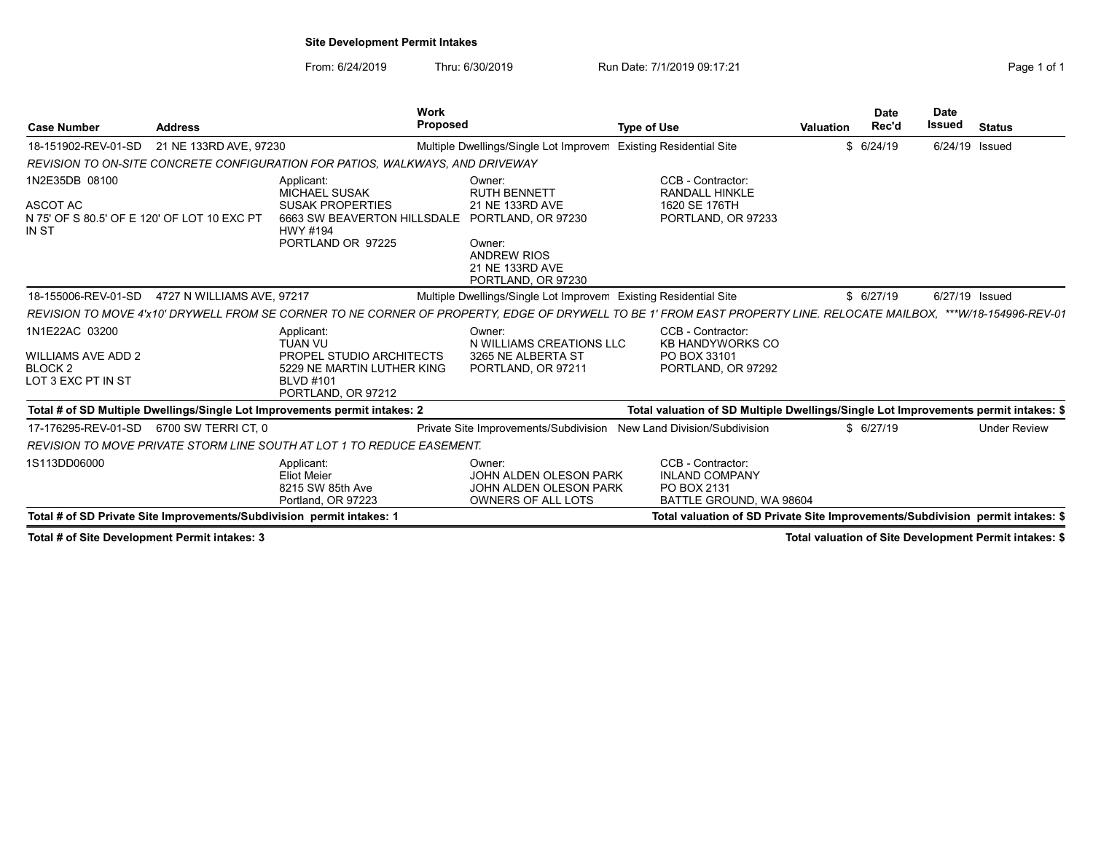## Site Development Permit Intakes

From: 6/24/2019 Thru: 6/30/2019 Run Date: 7/1/2019 09:17:21 Thru: 6/30/2019 Rage 1 of 1

| <b>Case Number</b><br><b>Address</b>                                               |                            | <b>Work</b><br><b>Proposed</b>                                                                           |                                                                                         | <b>Type of Use</b>                                                                                                                                                 | <b>Valuation</b> | Date<br>Rec'd | <b>Date</b><br><b>Issued</b> | <b>Status</b>       |
|------------------------------------------------------------------------------------|----------------------------|----------------------------------------------------------------------------------------------------------|-----------------------------------------------------------------------------------------|--------------------------------------------------------------------------------------------------------------------------------------------------------------------|------------------|---------------|------------------------------|---------------------|
| 18-151902-REV-01-SD                                                                | 21 NE 133RD AVE, 97230     |                                                                                                          | Multiple Dwellings/Single Lot Improvem Existing Residential Site                        |                                                                                                                                                                    |                  | \$6/24/19     | 6/24/19 Issued               |                     |
|                                                                                    |                            | REVISION TO ON-SITE CONCRETE CONFIGURATION FOR PATIOS, WALKWAYS, AND DRIVEWAY                            |                                                                                         |                                                                                                                                                                    |                  |               |                              |                     |
| 1N2E35DB 08100<br>ASCOT AC<br>N 75' OF S 80.5' OF E 120' OF LOT 10 EXC PT<br>IN ST |                            | Applicant:<br><b>MICHAEL SUSAK</b><br><b>SUSAK PROPERTIES</b><br>6663 SW BEAVERTON HILLSDALE<br>HWY #194 | Owner:<br><b>RUTH BENNETT</b><br>21 NE 133RD AVE<br>PORTLAND, OR 97230                  | CCB - Contractor:<br><b>RANDALL HINKLE</b><br>1620 SE 176TH<br>PORTLAND, OR 97233                                                                                  |                  |               |                              |                     |
|                                                                                    |                            | PORTLAND OR 97225                                                                                        | Owner:<br><b>ANDREW RIOS</b><br>21 NE 133RD AVE<br>PORTLAND, OR 97230                   |                                                                                                                                                                    |                  |               |                              |                     |
| 18-155006-REV-01-SD                                                                | 4727 N WILLIAMS AVE, 97217 |                                                                                                          | Multiple Dwellings/Single Lot Improver Existing Residential Site                        |                                                                                                                                                                    |                  | \$6/27/19     | 6/27/19 Issued               |                     |
|                                                                                    |                            |                                                                                                          |                                                                                         | REVISION TO MOVE 4'x10' DRYWELL FROM SE CORNER TO NE CORNER OF PROPERTY, EDGE OF DRYWELL TO BE 1' FROM EAST PROPERTY LINE. RELOCATE MAILBOX, ***W/18-154996-REV-01 |                  |               |                              |                     |
| 1N1E22AC 03200<br>WILLIAMS AVE ADD 2<br>BLOCK 2                                    |                            | Applicant:<br><b>TUAN VU</b><br>PROPEL STUDIO ARCHITECTS<br>5229 NE MARTIN LUTHER KING                   | Owner:<br>N WILLIAMS CREATIONS LLC<br>3265 NE ALBERTA ST<br>PORTLAND, OR 97211          | CCB - Contractor:<br><b>KB HANDYWORKS CO</b><br>PO BOX 33101<br>PORTLAND, OR 97292                                                                                 |                  |               |                              |                     |
| LOT 3 EXC PT IN ST                                                                 |                            | <b>BLVD #101</b><br>PORTLAND, OR 97212                                                                   |                                                                                         |                                                                                                                                                                    |                  |               |                              |                     |
|                                                                                    |                            | Total # of SD Multiple Dwellings/Single Lot Improvements permit intakes: 2                               |                                                                                         | Total valuation of SD Multiple Dwellings/Single Lot Improvements permit intakes: \$                                                                                |                  |               |                              |                     |
| 17-176295-REV-01-SD                                                                | 6700 SW TERRI CT, 0        |                                                                                                          | Private Site Improvements/Subdivision New Land Division/Subdivision                     |                                                                                                                                                                    |                  | \$6/27/19     |                              | <b>Under Review</b> |
|                                                                                    |                            | REVISION TO MOVE PRIVATE STORM LINE SOUTH AT LOT 1 TO REDUCE EASEMENT.                                   |                                                                                         |                                                                                                                                                                    |                  |               |                              |                     |
| 1S113DD06000                                                                       |                            | Applicant:<br><b>Eliot Meier</b><br>8215 SW 85th Ave<br>Portland, OR 97223                               | Owner:<br>JOHN ALDEN OLESON PARK<br>JOHN ALDEN OLESON PARK<br><b>OWNERS OF ALL LOTS</b> | CCB - Contractor:<br><b>INLAND COMPANY</b><br>PO BOX 2131<br>BATTLE GROUND, WA 98604                                                                               |                  |               |                              |                     |
| Total # of SD Private Site Improvements/Subdivision permit intakes: 1              |                            |                                                                                                          |                                                                                         | Total valuation of SD Private Site Improvements/Subdivision permit intakes: \$                                                                                     |                  |               |                              |                     |

Total # of Site Development Permit intakes: 3 3 Total valuation of Site Development Permit intakes: \$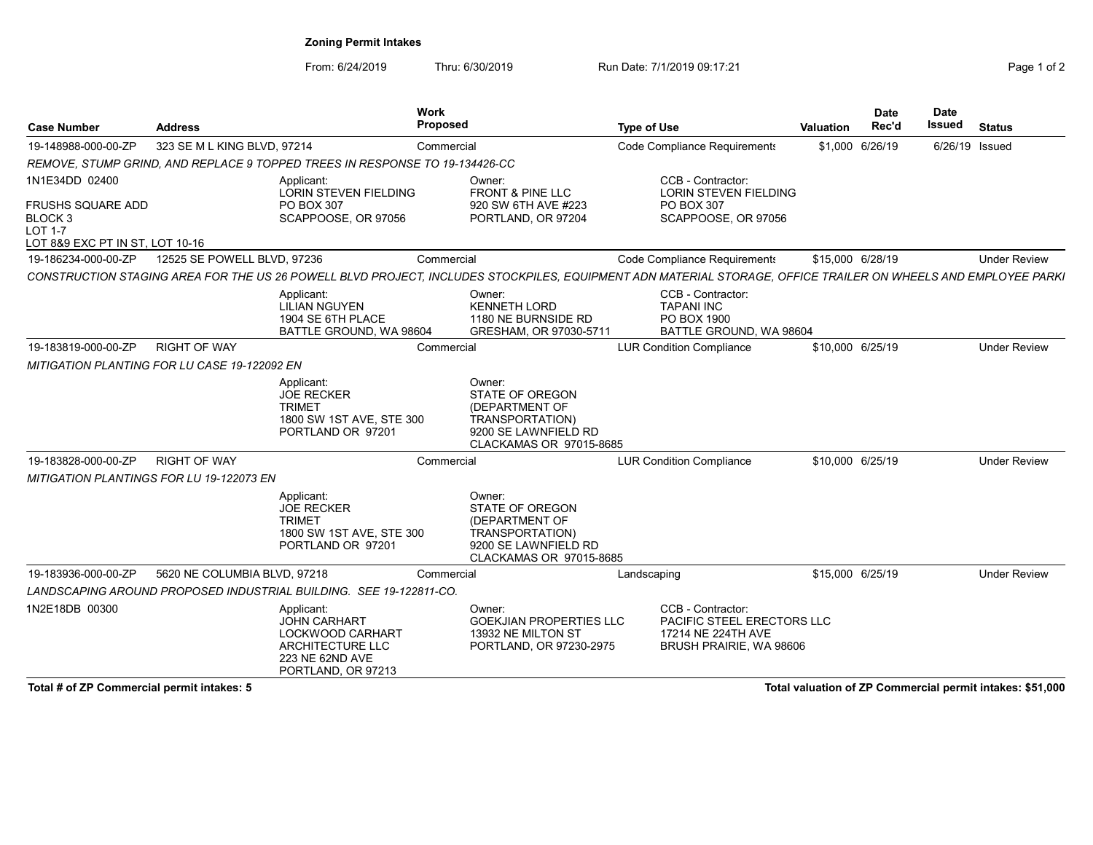# Zoning Permit Intakes

From: 6/24/2019 Thru: 6/30/2019 Run Date: 7/1/2019 09:17:21 The State of 2

| <b>Case Number</b>                                                                                               | <b>Address</b>                                  |                                                                                                                    | <b>Work</b><br>Proposed                                                                                                         | <b>Type of Use</b>                                                                                                                                                                                                                                | Valuation        | <b>Date</b><br>Rec'd | <b>Date</b><br>Issued | <b>Status</b>       |
|------------------------------------------------------------------------------------------------------------------|-------------------------------------------------|--------------------------------------------------------------------------------------------------------------------|---------------------------------------------------------------------------------------------------------------------------------|---------------------------------------------------------------------------------------------------------------------------------------------------------------------------------------------------------------------------------------------------|------------------|----------------------|-----------------------|---------------------|
| 19-148988-000-00-ZP                                                                                              | 323 SE M L KING BLVD, 97214                     |                                                                                                                    | Commercial                                                                                                                      | Code Compliance Requirements                                                                                                                                                                                                                      |                  | \$1,000 6/26/19      | 6/26/19 Issued        |                     |
|                                                                                                                  |                                                 | REMOVE, STUMP GRIND, AND REPLACE 9 TOPPED TREES IN RESPONSE TO 19-134426-CC                                        |                                                                                                                                 |                                                                                                                                                                                                                                                   |                  |                      |                       |                     |
| 1N1E34DD 02400<br><b>FRUSHS SQUARE ADD</b><br><b>BLOCK3</b><br><b>LOT 1-7</b><br>LOT 8&9 EXC PT IN ST, LOT 10-16 |                                                 | Applicant:<br><b>LORIN STEVEN FIELDING</b><br><b>PO BOX 307</b><br>SCAPPOOSE, OR 97056                             | Owner:<br><b>FRONT &amp; PINE LLC</b><br>920 SW 6TH AVE #223<br>PORTLAND, OR 97204                                              | CCB - Contractor:<br><b>LORIN STEVEN FIELDING</b><br>PO BOX 307<br>SCAPPOOSE, OR 97056                                                                                                                                                            |                  |                      |                       |                     |
| 19-186234-000-00-ZP                                                                                              | 12525 SE POWELL BLVD, 97236                     |                                                                                                                    | Commercial                                                                                                                      | Code Compliance Requirements                                                                                                                                                                                                                      | \$15,000 6/28/19 |                      |                       | <b>Under Review</b> |
|                                                                                                                  |                                                 | Applicant:<br><b>LILIAN NGUYEN</b><br>1904 SE 6TH PLACE<br>BATTLE GROUND, WA 98604                                 | Owner:<br><b>KENNETH LORD</b><br>1180 NE BURNSIDE RD<br>GRESHAM, OR 97030-5711                                                  | CONSTRUCTION STAGING AREA FOR THE US 26 POWELL BLVD PROJECT, INCLUDES STOCKPILES, EQUIPMENT ADN MATERIAL STORAGE, OFFICE TRAILER ON WHEELS AND EMPLOYEE PARKI<br>CCB - Contractor:<br><b>TAPANI INC</b><br>PO BOX 1900<br>BATTLE GROUND, WA 98604 |                  |                      |                       |                     |
| 19-183819-000-00-ZP                                                                                              | <b>RIGHT OF WAY</b>                             |                                                                                                                    | Commercial                                                                                                                      | <b>LUR Condition Compliance</b>                                                                                                                                                                                                                   | \$10,000 6/25/19 |                      |                       | <b>Under Review</b> |
|                                                                                                                  | MITIGATION PLANTING FOR LU CASE 19-122092 EN    |                                                                                                                    |                                                                                                                                 |                                                                                                                                                                                                                                                   |                  |                      |                       |                     |
|                                                                                                                  |                                                 | Applicant:<br><b>JOE RECKER</b><br><b>TRIMET</b><br>1800 SW 1ST AVE, STE 300<br>PORTLAND OR 97201                  | Owner:<br><b>STATE OF OREGON</b><br>(DEPARTMENT OF<br><b>TRANSPORTATION)</b><br>9200 SE LAWNFIELD RD<br>CLACKAMAS OR 97015-8685 |                                                                                                                                                                                                                                                   |                  |                      |                       |                     |
| 19-183828-000-00-ZP                                                                                              | <b>RIGHT OF WAY</b>                             |                                                                                                                    | Commercial                                                                                                                      | <b>LUR Condition Compliance</b>                                                                                                                                                                                                                   | \$10,000 6/25/19 |                      |                       | <b>Under Review</b> |
|                                                                                                                  | <b>MITIGATION PLANTINGS FOR LU 19-122073 EN</b> |                                                                                                                    |                                                                                                                                 |                                                                                                                                                                                                                                                   |                  |                      |                       |                     |
|                                                                                                                  |                                                 | Applicant:<br><b>JOE RECKER</b><br><b>TRIMET</b><br>1800 SW 1ST AVE, STE 300<br>PORTLAND OR 97201                  | Owner:<br>STATE OF OREGON<br>(DEPARTMENT OF<br>TRANSPORTATION)<br>9200 SE LAWNFIELD RD<br>CLACKAMAS OR 97015-8685               |                                                                                                                                                                                                                                                   |                  |                      |                       |                     |
| 19-183936-000-00-ZP                                                                                              | 5620 NE COLUMBIA BLVD, 97218                    |                                                                                                                    | Commercial                                                                                                                      | Landscaping                                                                                                                                                                                                                                       | \$15,000 6/25/19 |                      |                       | <b>Under Review</b> |
|                                                                                                                  |                                                 | LANDSCAPING AROUND PROPOSED INDUSTRIAL BUILDING. SEE 19-122811-CO.                                                 |                                                                                                                                 |                                                                                                                                                                                                                                                   |                  |                      |                       |                     |
| 1N2E18DB 00300                                                                                                   |                                                 | Applicant:<br><b>JOHN CARHART</b><br>LOCKWOOD CARHART<br>ARCHITECTURE LLC<br>223 NE 62ND AVE<br>PORTLAND, OR 97213 | Owner:<br><b>GOEKJIAN PROPERTIES LLC</b><br>13932 NE MILTON ST<br>PORTLAND, OR 97230-2975                                       | CCB - Contractor:<br><b>PACIFIC STEEL ERECTORS LLC</b><br>17214 NE 224TH AVE<br>BRUSH PRAIRIE, WA 98606                                                                                                                                           |                  |                      |                       |                     |

Total # of ZP Commercial permit intakes: 5 Total valuation of ZP Commercial permit intakes: \$51,000